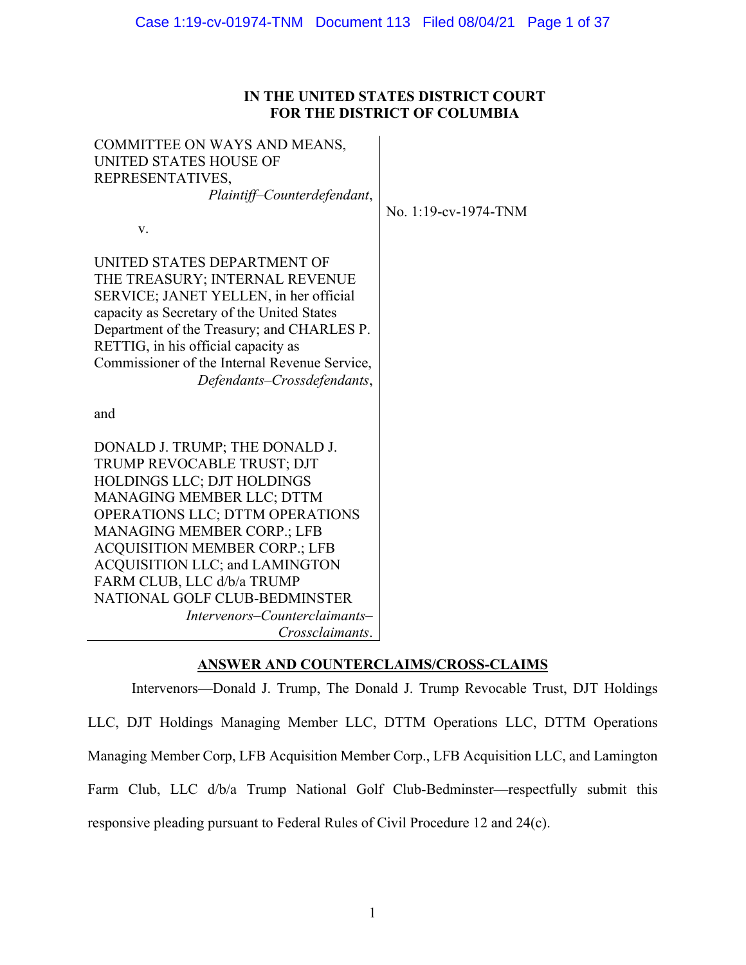# **IN THE UNITED STATES DISTRICT COURT FOR THE DISTRICT OF COLUMBIA**

| COMMITTEE ON WAYS AND MEANS,<br><b>UNITED STATES HOUSE OF</b><br>REPRESENTATIVES,<br>Plaintiff-Counterdefendant, |                      |
|------------------------------------------------------------------------------------------------------------------|----------------------|
| V.                                                                                                               | No. 1:19-cv-1974-TNM |
|                                                                                                                  |                      |
| UNITED STATES DEPARTMENT OF                                                                                      |                      |
| THE TREASURY; INTERNAL REVENUE                                                                                   |                      |
| SERVICE; JANET YELLEN, in her official                                                                           |                      |
| capacity as Secretary of the United States                                                                       |                      |
| Department of the Treasury; and CHARLES P.                                                                       |                      |
| RETTIG, in his official capacity as<br>Commissioner of the Internal Revenue Service,                             |                      |
| Defendants-Crossdefendants,                                                                                      |                      |
|                                                                                                                  |                      |
| and                                                                                                              |                      |
|                                                                                                                  |                      |
| DONALD J. TRUMP; THE DONALD J.                                                                                   |                      |
| TRUMP REVOCABLE TRUST; DJT                                                                                       |                      |
| HOLDINGS LLC; DJT HOLDINGS                                                                                       |                      |
| MANAGING MEMBER LLC; DTTM                                                                                        |                      |
| OPERATIONS LLC; DTTM OPERATIONS<br><b>MANAGING MEMBER CORP.; LFB</b>                                             |                      |
| <b>ACQUISITION MEMBER CORP.; LFB</b>                                                                             |                      |
| <b>ACQUISITION LLC; and LAMINGTON</b>                                                                            |                      |
| FARM CLUB, LLC d/b/a TRUMP                                                                                       |                      |
| NATIONAL GOLF CLUB-BEDMINSTER                                                                                    |                      |
| Intervenors–Counterclaimants–                                                                                    |                      |
| Crossclaimants.                                                                                                  |                      |
|                                                                                                                  |                      |

# **ANSWER AND COUNTERCLAIMS/CROSS-CLAIMS**

 Intervenors—Donald J. Trump, The Donald J. Trump Revocable Trust, DJT Holdings LLC, DJT Holdings Managing Member LLC, DTTM Operations LLC, DTTM Operations Farm Club, LLC d/b/a Trump National Golf Club-Bedminster—respectfully submit this responsive pleading pursuant to Federal Rules of Civil Procedure 12 and 24(c). Managing Member Corp, LFB Acquisition Member Corp., LFB Acquisition LLC, and Lamington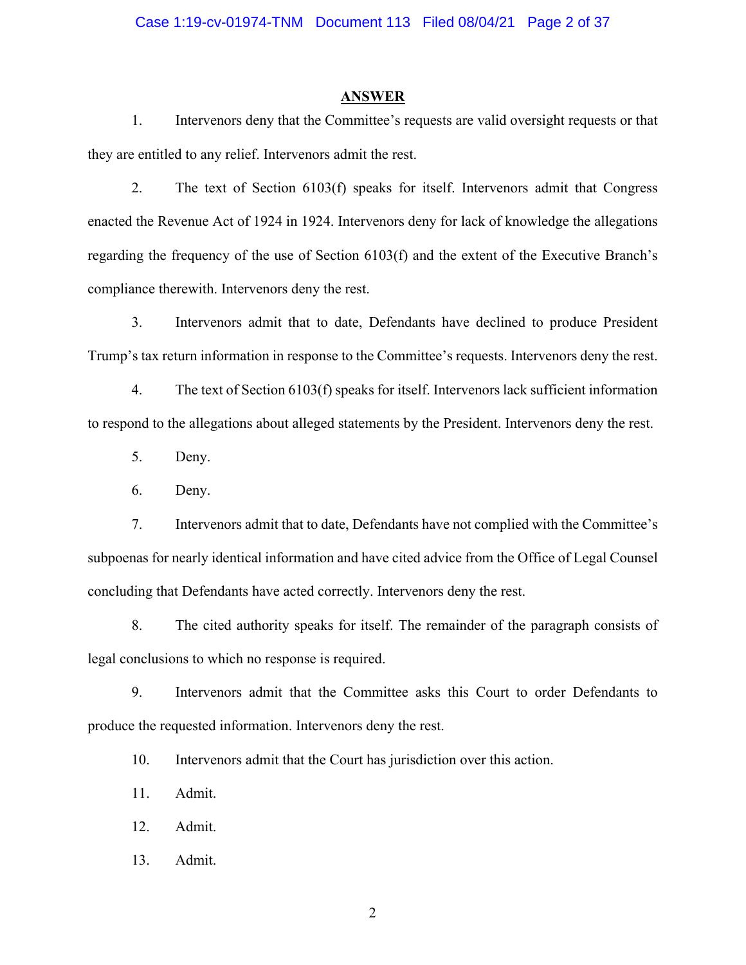#### **ANSWER**

 1. Intervenors deny that the Committee's requests are valid oversight requests or that they are entitled to any relief. Intervenors admit the rest.

 2. The text of Section 6103(f) speaks for itself. Intervenors admit that Congress enacted the Revenue Act of 1924 in 1924. Intervenors deny for lack of knowledge the allegations regarding the frequency of the use of Section 6103(f) and the extent of the Executive Branch's compliance therewith. Intervenors deny the rest.

 3. Intervenors admit that to date, Defendants have declined to produce President Trump's tax return information in response to the Committee's requests. Intervenors deny the rest.

 4. The text of Section 6103(f) speaks for itself. Intervenors lack sufficient information to respond to the allegations about alleged statements by the President. Intervenors deny the rest.

5. Deny.

6. Deny.

 7. Intervenors admit that to date, Defendants have not complied with the Committee's subpoenas for nearly identical information and have cited advice from the Office of Legal Counsel concluding that Defendants have acted correctly. Intervenors deny the rest.

8. The cited authority speaks for itself. The remainder of the paragraph consists of legal conclusions to which no response is required.

 9. Intervenors admit that the Committee asks this Court to order Defendants to produce the requested information. Intervenors deny the rest.

10. Intervenors admit that the Court has jurisdiction over this action.

11. Admit.

12. Admit.

13. Admit.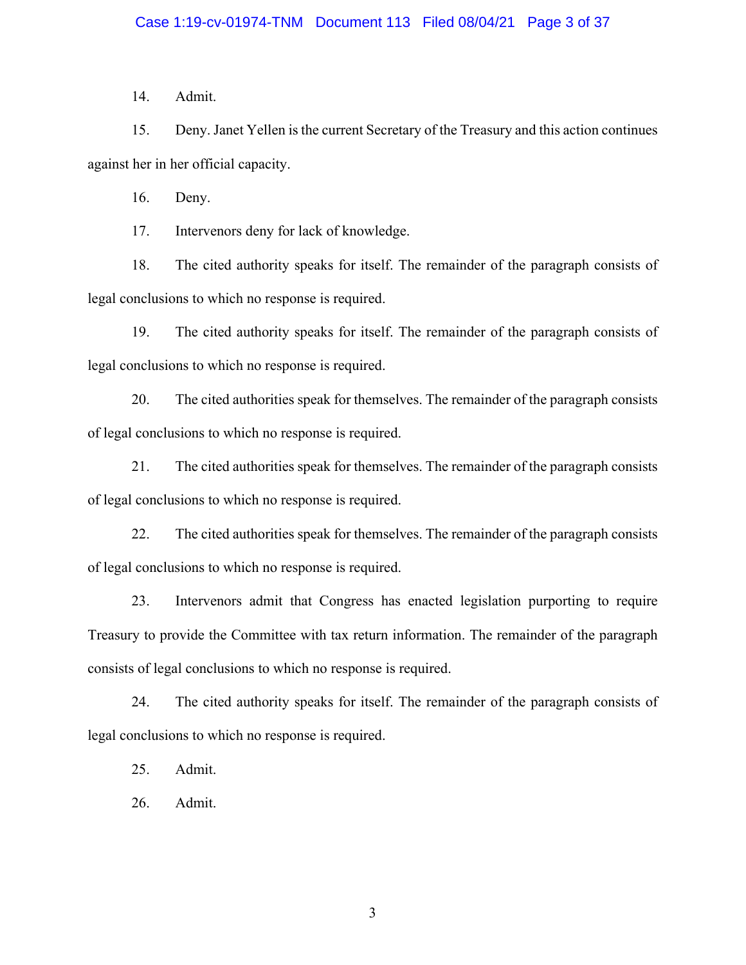14. Admit.

 15. Deny. Janet Yellen is the current Secretary of the Treasury and this action continues against her in her official capacity.

16. Deny.

17. Intervenors deny for lack of knowledge.

18. The cited authority speaks for itself. The remainder of the paragraph consists of legal conclusions to which no response is required.

19. The cited authority speaks for itself. The remainder of the paragraph consists of legal conclusions to which no response is required.

20. The cited authorities speak for themselves. The remainder of the paragraph consists of legal conclusions to which no response is required.

21. The cited authorities speak for themselves. The remainder of the paragraph consists of legal conclusions to which no response is required.

22. The cited authorities speak for themselves. The remainder of the paragraph consists of legal conclusions to which no response is required.

 23. Intervenors admit that Congress has enacted legislation purporting to require Treasury to provide the Committee with tax return information. The remainder of the paragraph consists of legal conclusions to which no response is required.

24. The cited authority speaks for itself. The remainder of the paragraph consists of legal conclusions to which no response is required.

25. Admit.

26. Admit.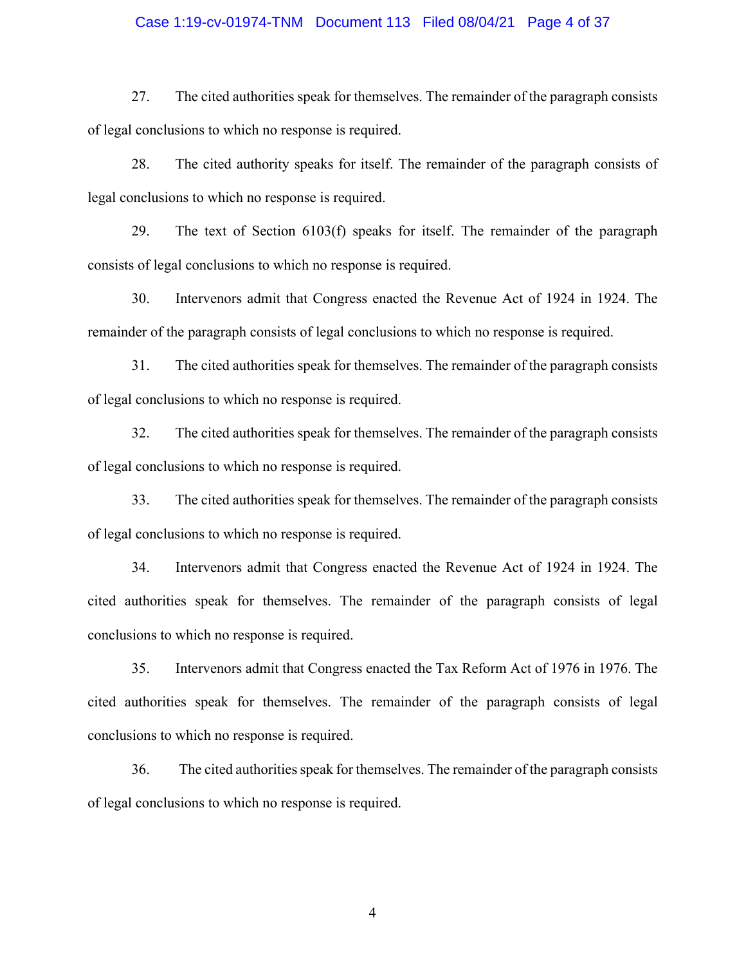#### Case 1:19-cv-01974-TNM Document 113 Filed 08/04/21 Page 4 of 37

27. The cited authorities speak for themselves. The remainder of the paragraph consists of legal conclusions to which no response is required.

28. The cited authority speaks for itself. The remainder of the paragraph consists of legal conclusions to which no response is required.

 29. The text of Section 6103(f) speaks for itself. The remainder of the paragraph consists of legal conclusions to which no response is required.

 30. Intervenors admit that Congress enacted the Revenue Act of 1924 in 1924. The remainder of the paragraph consists of legal conclusions to which no response is required.

31. The cited authorities speak for themselves. The remainder of the paragraph consists of legal conclusions to which no response is required.

32. The cited authorities speak for themselves. The remainder of the paragraph consists of legal conclusions to which no response is required.

33. The cited authorities speak for themselves. The remainder of the paragraph consists of legal conclusions to which no response is required.

 34. Intervenors admit that Congress enacted the Revenue Act of 1924 in 1924. The cited authorities speak for themselves. The remainder of the paragraph consists of legal conclusions to which no response is required.

 35. Intervenors admit that Congress enacted the Tax Reform Act of 1976 in 1976. The cited authorities speak for themselves. The remainder of the paragraph consists of legal conclusions to which no response is required.

 36. The cited authorities speak for themselves. The remainder of the paragraph consists of legal conclusions to which no response is required.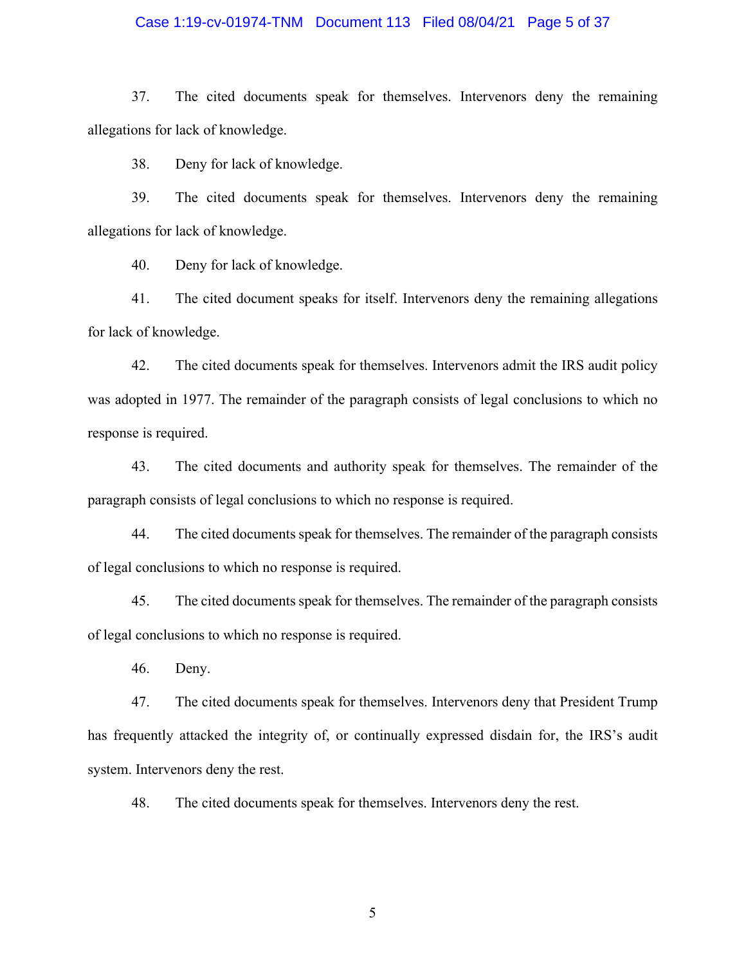#### Case 1:19-cv-01974-TNM Document 113 Filed 08/04/21 Page 5 of 37

 37. The cited documents speak for themselves. Intervenors deny the remaining allegations for lack of knowledge.

38. Deny for lack of knowledge.

 39. The cited documents speak for themselves. Intervenors deny the remaining allegations for lack of knowledge.

40. Deny for lack of knowledge.

 41. The cited document speaks for itself. Intervenors deny the remaining allegations for lack of knowledge.

 42. The cited documents speak for themselves. Intervenors admit the IRS audit policy was adopted in 1977. The remainder of the paragraph consists of legal conclusions to which no response is required.

43. The cited documents and authority speak for themselves. The remainder of the paragraph consists of legal conclusions to which no response is required.

44. The cited documents speak for themselves. The remainder of the paragraph consists of legal conclusions to which no response is required.

45. The cited documents speak for themselves. The remainder of the paragraph consists of legal conclusions to which no response is required.

46. Deny.

 47. The cited documents speak for themselves. Intervenors deny that President Trump has frequently attacked the integrity of, or continually expressed disdain for, the IRS's audit system. Intervenors deny the rest.

48. The cited documents speak for themselves. Intervenors deny the rest.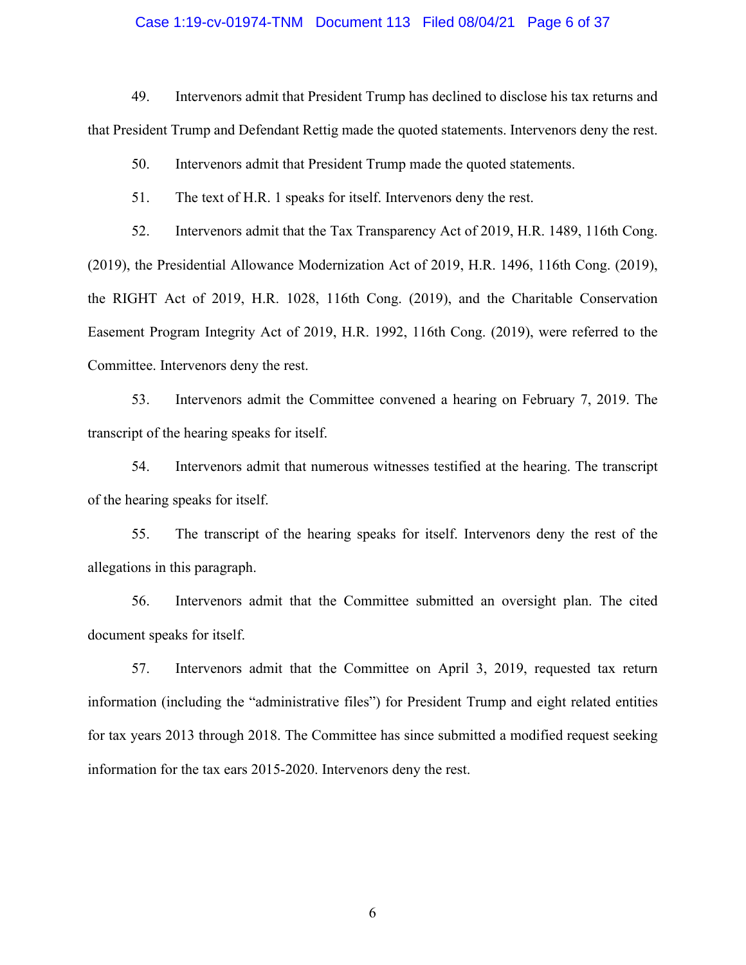#### Case 1:19-cv-01974-TNM Document 113 Filed 08/04/21 Page 6 of 37

 49. Intervenors admit that President Trump has declined to disclose his tax returns and that President Trump and Defendant Rettig made the quoted statements. Intervenors deny the rest.

50. Intervenors admit that President Trump made the quoted statements.

51. The text of H.R. 1 speaks for itself. Intervenors deny the rest.

 52. Intervenors admit that the Tax Transparency Act of 2019, H.R. 1489, 116th Cong. (2019), the Presidential Allowance Modernization Act of 2019, H.R. 1496, 116th Cong. (2019), the RIGHT Act of 2019, H.R. 1028, 116th Cong. (2019), and the Charitable Conservation Easement Program Integrity Act of 2019, H.R. 1992, 116th Cong. (2019), were referred to the Committee. Intervenors deny the rest.

 53. Intervenors admit the Committee convened a hearing on February 7, 2019. The transcript of the hearing speaks for itself.

 54. Intervenors admit that numerous witnesses testified at the hearing. The transcript of the hearing speaks for itself.

 55. The transcript of the hearing speaks for itself. Intervenors deny the rest of the allegations in this paragraph.

 56. Intervenors admit that the Committee submitted an oversight plan. The cited document speaks for itself.

 57. Intervenors admit that the Committee on April 3, 2019, requested tax return for tax years 2013 through 2018. The Committee has since submitted a modified request seeking information (including the "administrative files") for President Trump and eight related entities information for the tax ears 2015-2020. Intervenors deny the rest.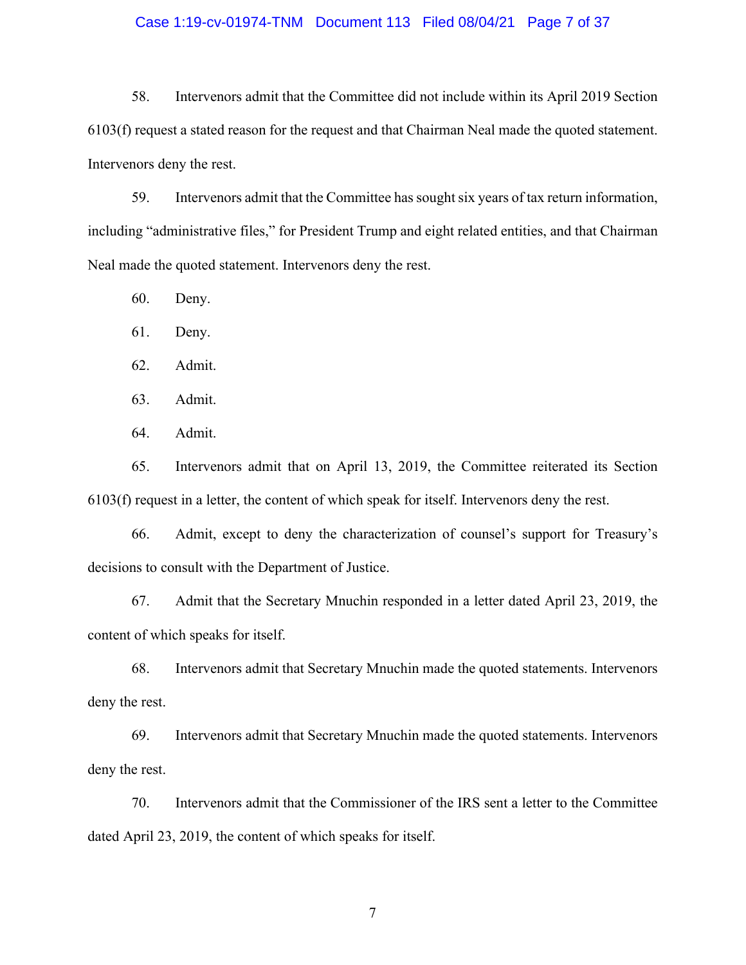#### Case 1:19-cv-01974-TNM Document 113 Filed 08/04/21 Page 7 of 37

 58. Intervenors admit that the Committee did not include within its April 2019 Section 6103(f) request a stated reason for the request and that Chairman Neal made the quoted statement. Intervenors deny the rest.

 59. Intervenors admit that the Committee has sought six years of tax return information, including "administrative files," for President Trump and eight related entities, and that Chairman Neal made the quoted statement. Intervenors deny the rest.

60. Deny.

61. Deny.

62. Admit.

63. Admit.

64. Admit.

 65. Intervenors admit that on April 13, 2019, the Committee reiterated its Section 6103(f) request in a letter, the content of which speak for itself. Intervenors deny the rest.

 66. Admit, except to deny the characterization of counsel's support for Treasury's decisions to consult with the Department of Justice.

 67. Admit that the Secretary Mnuchin responded in a letter dated April 23, 2019, the content of which speaks for itself.

 68. Intervenors admit that Secretary Mnuchin made the quoted statements. Intervenors deny the rest.

 69. Intervenors admit that Secretary Mnuchin made the quoted statements. Intervenors deny the rest.

 70. Intervenors admit that the Commissioner of the IRS sent a letter to the Committee dated April 23, 2019, the content of which speaks for itself.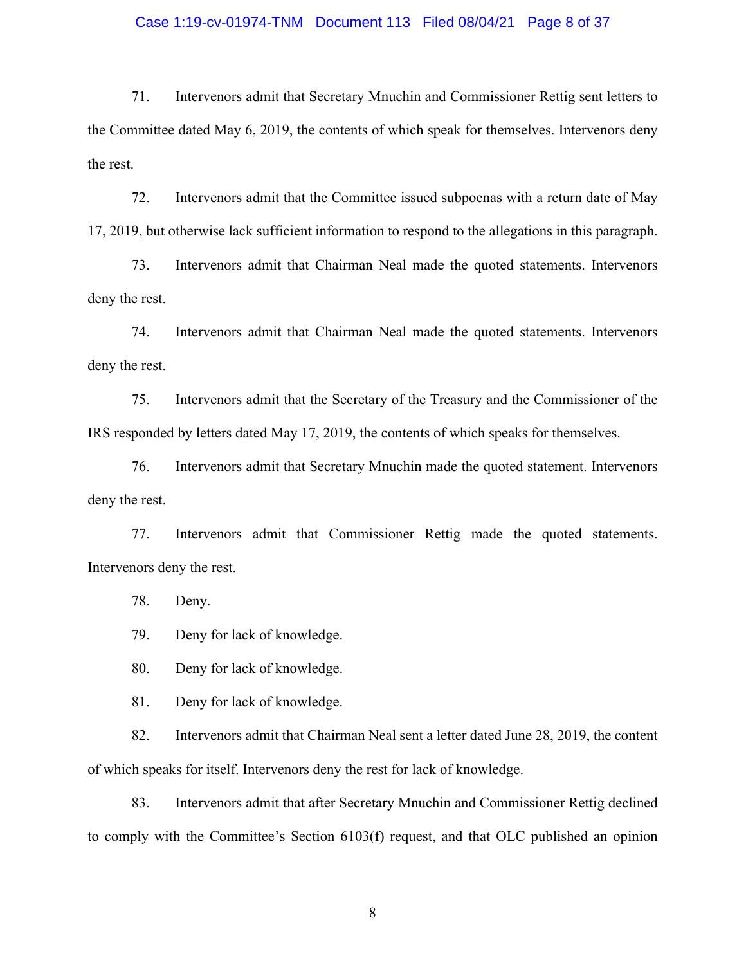#### Case 1:19-cv-01974-TNM Document 113 Filed 08/04/21 Page 8 of 37

 71. Intervenors admit that Secretary Mnuchin and Commissioner Rettig sent letters to the Committee dated May 6, 2019, the contents of which speak for themselves. Intervenors deny the rest.

 72. Intervenors admit that the Committee issued subpoenas with a return date of May 17, 2019, but otherwise lack sufficient information to respond to the allegations in this paragraph.

 73. Intervenors admit that Chairman Neal made the quoted statements. Intervenors deny the rest.

 74. Intervenors admit that Chairman Neal made the quoted statements. Intervenors deny the rest.

 75. Intervenors admit that the Secretary of the Treasury and the Commissioner of the IRS responded by letters dated May 17, 2019, the contents of which speaks for themselves.

 76. Intervenors admit that Secretary Mnuchin made the quoted statement. Intervenors deny the rest.

 77. Intervenors admit that Commissioner Rettig made the quoted statements. Intervenors deny the rest.

78. Deny.

79. Deny for lack of knowledge.

80. Deny for lack of knowledge.

81. Deny for lack of knowledge.

 82. Intervenors admit that Chairman Neal sent a letter dated June 28, 2019, the content of which speaks for itself. Intervenors deny the rest for lack of knowledge.

 83. Intervenors admit that after Secretary Mnuchin and Commissioner Rettig declined to comply with the Committee's Section 6103(f) request, and that OLC published an opinion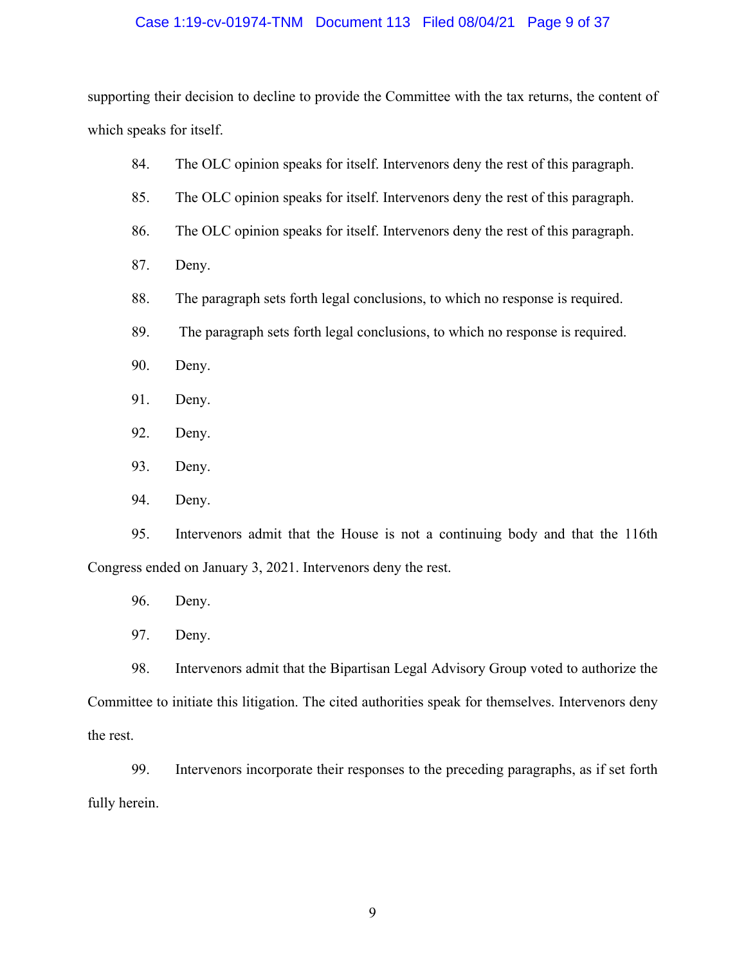#### Case 1:19-cv-01974-TNM Document 113 Filed 08/04/21 Page 9 of 37

 supporting their decision to decline to provide the Committee with the tax returns, the content of which speaks for itself.

- 84. The OLC opinion speaks for itself. Intervenors deny the rest of this paragraph.
- 85. The OLC opinion speaks for itself. Intervenors deny the rest of this paragraph.
- 86. The OLC opinion speaks for itself. Intervenors deny the rest of this paragraph.
- 87. Deny.
- 88. The paragraph sets forth legal conclusions, to which no response is required.
- 89. The paragraph sets forth legal conclusions, to which no response is required.
- 90. Deny.
- 91. Deny.
- 92. Deny.
- 93. Deny.
- 94. Deny.

 95. Intervenors admit that the House is not a continuing body and that the 116th Congress ended on January 3, 2021. Intervenors deny the rest.

- 96. Deny.
- 97. Deny.

 98. Intervenors admit that the Bipartisan Legal Advisory Group voted to authorize the Committee to initiate this litigation. The cited authorities speak for themselves. Intervenors deny the rest.

 99. Intervenors incorporate their responses to the preceding paragraphs, as if set forth fully herein.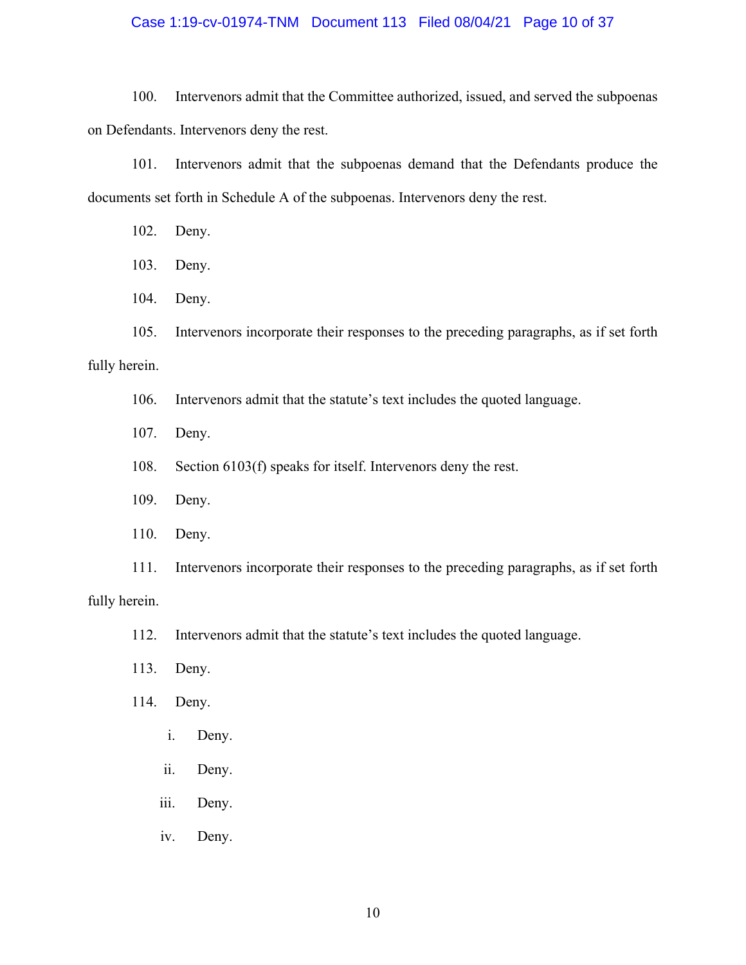#### Case 1:19-cv-01974-TNM Document 113 Filed 08/04/21 Page 10 of 37

 100. Intervenors admit that the Committee authorized, issued, and served the subpoenas on Defendants. Intervenors deny the rest.

 101. Intervenors admit that the subpoenas demand that the Defendants produce the documents set forth in Schedule A of the subpoenas. Intervenors deny the rest.

- 102. Deny.
- 103. Deny.
- 104. Deny.

105. Intervenors incorporate their responses to the preceding paragraphs, as if set forth

# fully herein.

- 106. Intervenors admit that the statute's text includes the quoted language.
- 107. Deny.
- 108. Section 6103(f) speaks for itself. Intervenors deny the rest.
- 109. Deny.
- 110. Deny.

 111. Intervenors incorporate their responses to the preceding paragraphs, as if set forth fully herein.

- 112. Intervenors admit that the statute's text includes the quoted language.
- 113. Deny.
- 114. Deny.
	- i. Deny.
	- ii. Deny.
	- iii. Deny.
	- iv. Deny.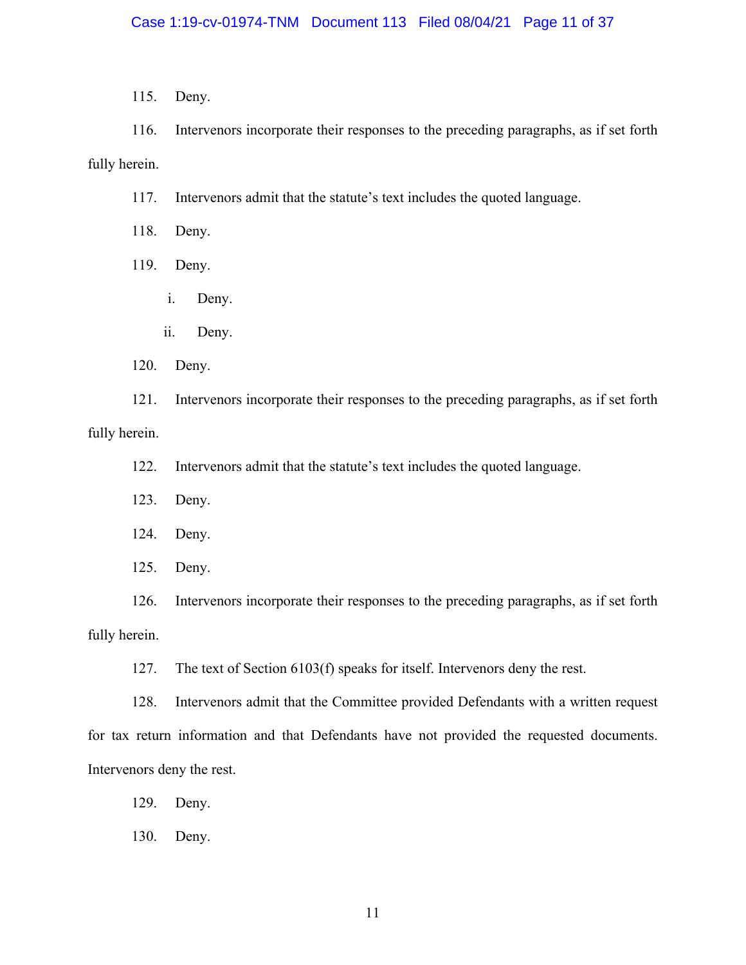115. Deny.

 116. Intervenors incorporate their responses to the preceding paragraphs, as if set forth fully herein.

117. Intervenors admit that the statute's text includes the quoted language.

118. Deny.

119. Deny.

- i. Deny.
- ii. Deny.

120. Deny.

 121. Intervenors incorporate their responses to the preceding paragraphs, as if set forth fully herein.

122. Intervenors admit that the statute's text includes the quoted language.

123. Deny.

124. Deny.

125. Deny.

 126. Intervenors incorporate their responses to the preceding paragraphs, as if set forth fully herein.

127. The text of Section 6103(f) speaks for itself. Intervenors deny the rest.

 128. Intervenors admit that the Committee provided Defendants with a written request for tax return information and that Defendants have not provided the requested documents. Intervenors deny the rest.

129. Deny.

130. Deny.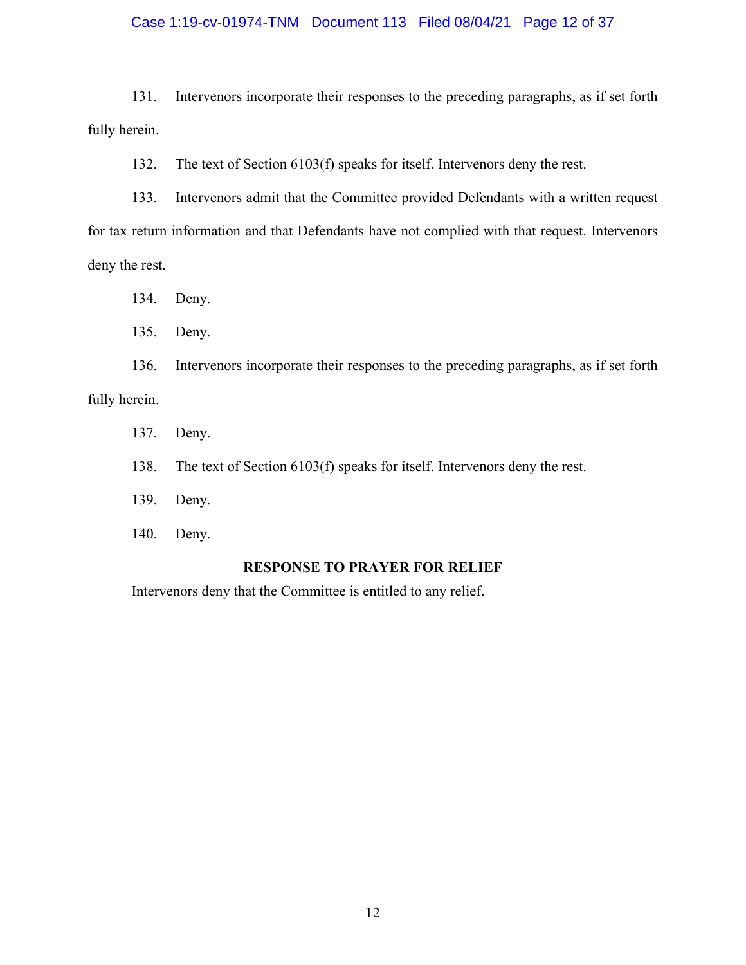#### Case 1:19-cv-01974-TNM Document 113 Filed 08/04/21 Page 12 of 37

 131. Intervenors incorporate their responses to the preceding paragraphs, as if set forth fully herein.

132. The text of Section 6103(f) speaks for itself. Intervenors deny the rest.

 133. Intervenors admit that the Committee provided Defendants with a written request for tax return information and that Defendants have not complied with that request. Intervenors deny the rest.

134. Deny.

135. Deny.

 136. Intervenors incorporate their responses to the preceding paragraphs, as if set forth fully herein.

137. Deny.

138. The text of Section 6103(f) speaks for itself. Intervenors deny the rest.

- 139. Deny.
- 140. Deny.

### **RESPONSE TO PRAYER FOR RELIEF**

Intervenors deny that the Committee is entitled to any relief.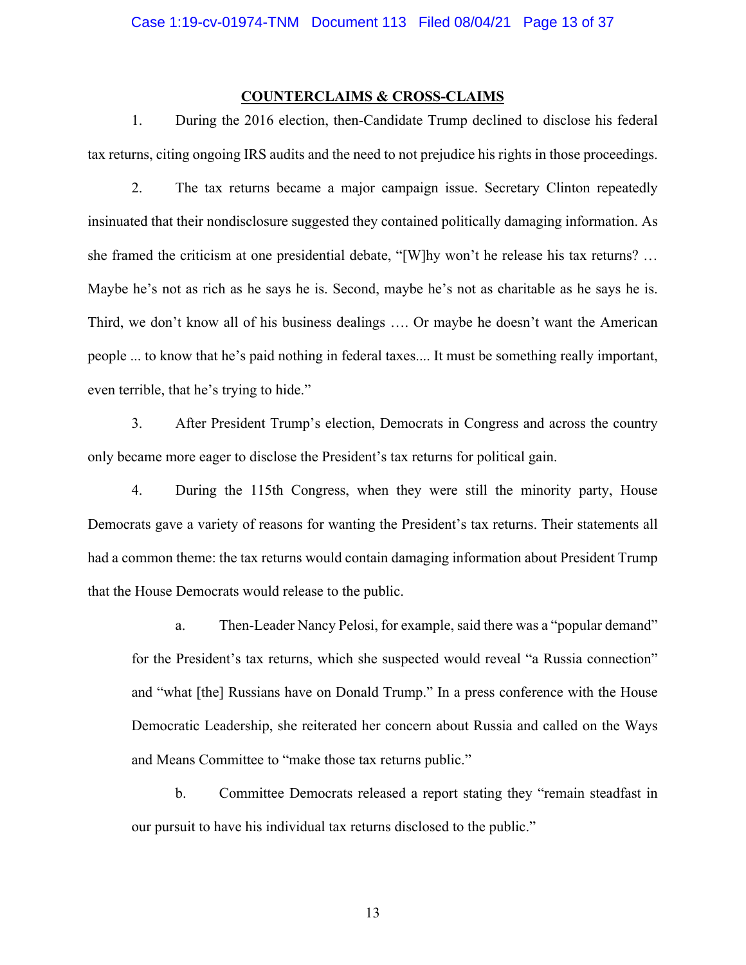### **COUNTERCLAIMS & CROSS-CLAIMS**

 1. During the 2016 election, then-Candidate Trump declined to disclose his federal tax returns, citing ongoing IRS audits and the need to not prejudice his rights in those proceedings.

 2. The tax returns became a major campaign issue. Secretary Clinton repeatedly she framed the criticism at one presidential debate, "[W]hy won't he release his tax returns? … Maybe he's not as rich as he says he is. Second, maybe he's not as charitable as he says he is. Third, we don't know all of his business dealings …. Or maybe he doesn't want the American people ... to know that he's paid nothing in federal taxes.... It must be something really important, insinuated that their nondisclosure suggested they contained politically damaging information. As even terrible, that he's trying to hide."

 3. After President Trump's election, Democrats in Congress and across the country only became more eager to disclose the President's tax returns for political gain.

 4. During the 115th Congress, when they were still the minority party, House Democrats gave a variety of reasons for wanting the President's tax returns. Their statements all had a common theme: the tax returns would contain damaging information about President Trump that the House Democrats would release to the public.

 a. Then-Leader Nancy Pelosi, for example, said there was a "popular demand" for the President's tax returns, which she suspected would reveal "a Russia connection" and "what [the] Russians have on Donald Trump." In a press conference with the House Democratic Leadership, she reiterated her concern about Russia and called on the Ways and Means Committee to "make those tax returns public."

 b. Committee Democrats released a report stating they "remain steadfast in our pursuit to have his individual tax returns disclosed to the public."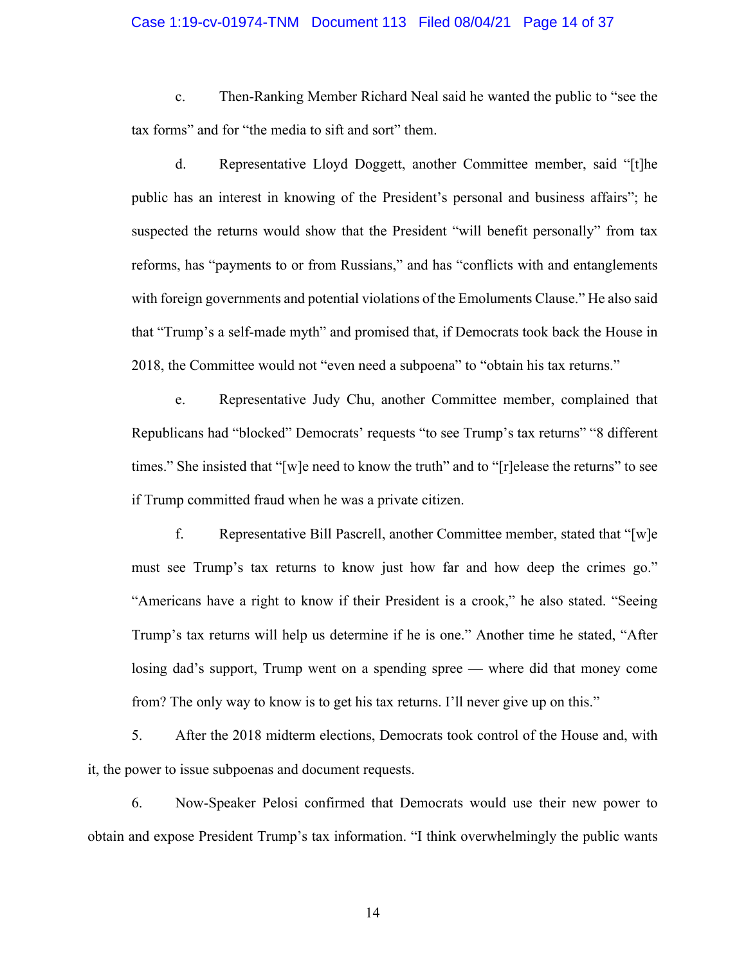#### Case 1:19-cv-01974-TNM Document 113 Filed 08/04/21 Page 14 of 37

 c. Then-Ranking Member Richard Neal said he wanted the public to "see the tax forms" and for "the media to sift and sort" them.

 public has an interest in knowing of the President's personal and business affairs"; he suspected the returns would show that the President "will benefit personally" from tax reforms, has "payments to or from Russians," and has "conflicts with and entanglements with foreign governments and potential violations of the Emoluments Clause." He also said that "Trump's a self-made myth" and promised that, if Democrats took back the House in d. Representative Lloyd Doggett, another Committee member, said "[t]he 2018, the Committee would not "even need a subpoena" to "obtain his tax returns."

 Republicans had "blocked" Democrats' requests "to see Trump's tax returns" "8 different times." She insisted that "[w]e need to know the truth" and to "[r]elease the returns" to see e. Representative Judy Chu, another Committee member, complained that if Trump committed fraud when he was a private citizen.

 f. Representative Bill Pascrell, another Committee member, stated that "[w]e must see Trump's tax returns to know just how far and how deep the crimes go." "Americans have a right to know if their President is a crook," he also stated. "Seeing Trump's tax returns will help us determine if he is one." Another time he stated, "After losing dad's support, Trump went on a spending spree — where did that money come from? The only way to know is to get his tax returns. I'll never give up on this."

 5. After the 2018 midterm elections, Democrats took control of the House and, with it, the power to issue subpoenas and document requests.

 6. Now-Speaker Pelosi confirmed that Democrats would use their new power to obtain and expose President Trump's tax information. "I think overwhelmingly the public wants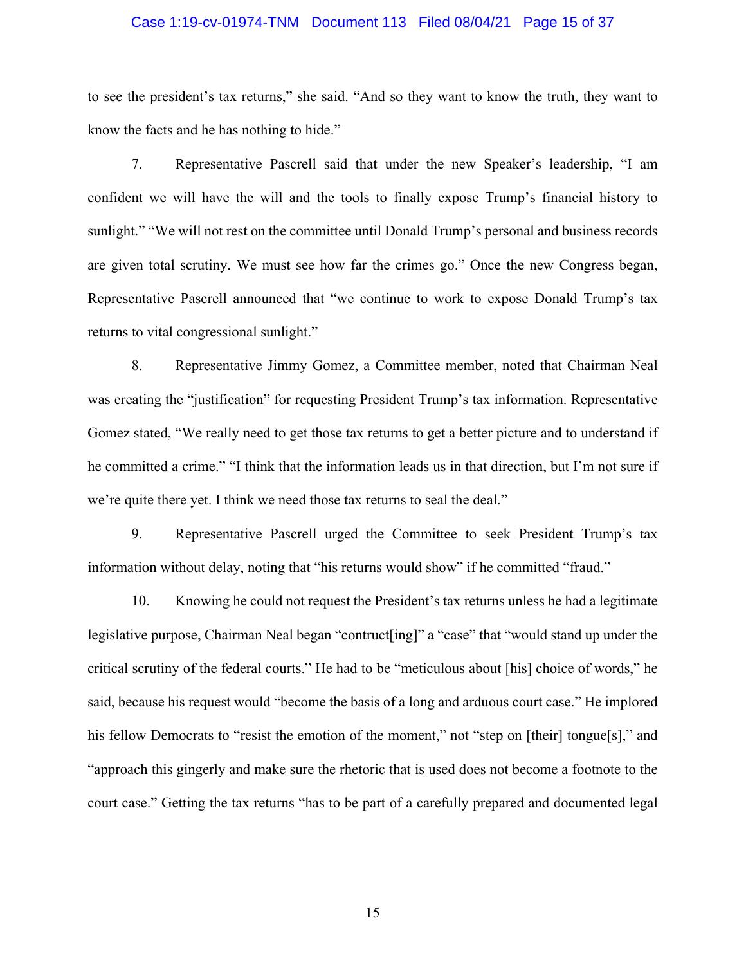#### Case 1:19-cv-01974-TNM Document 113 Filed 08/04/21 Page 15 of 37

 to see the president's tax returns," she said. "And so they want to know the truth, they want to know the facts and he has nothing to hide."

 7. Representative Pascrell said that under the new Speaker's leadership, "I am confident we will have the will and the tools to finally expose Trump's financial history to sunlight." "We will not rest on the committee until Donald Trump's personal and business records are given total scrutiny. We must see how far the crimes go." Once the new Congress began, Representative Pascrell announced that "we continue to work to expose Donald Trump's tax returns to vital congressional sunlight."

 8. Representative Jimmy Gomez, a Committee member, noted that Chairman Neal was creating the "justification" for requesting President Trump's tax information. Representative Gomez stated, "We really need to get those tax returns to get a better picture and to understand if he committed a crime." "I think that the information leads us in that direction, but I'm not sure if we're quite there yet. I think we need those tax returns to seal the deal."

 9. Representative Pascrell urged the Committee to seek President Trump's tax information without delay, noting that "his returns would show" if he committed "fraud."

 10. Knowing he could not request the President's tax returns unless he had a legitimate legislative purpose, Chairman Neal began "contruct[ing]" a "case" that "would stand up under the critical scrutiny of the federal courts." He had to be "meticulous about [his] choice of words," he said, because his request would "become the basis of a long and arduous court case." He implored his fellow Democrats to "resist the emotion of the moment," not "step on [their] tongue[s]," and "approach this gingerly and make sure the rhetoric that is used does not become a footnote to the court case." Getting the tax returns "has to be part of a carefully prepared and documented legal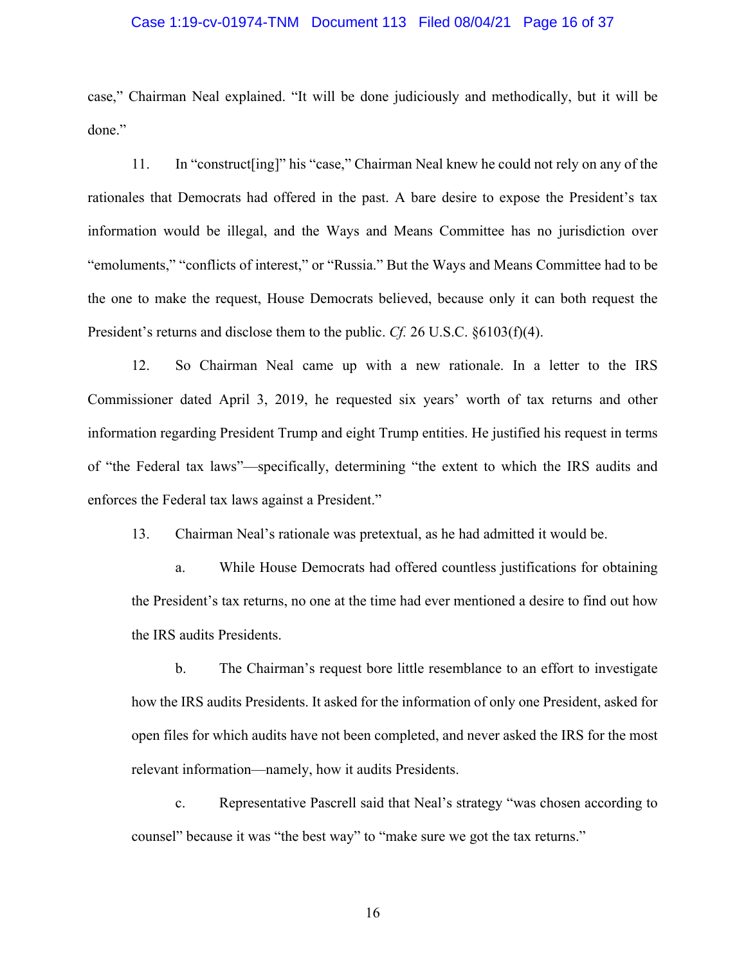#### Case 1:19-cv-01974-TNM Document 113 Filed 08/04/21 Page 16 of 37

 case," Chairman Neal explained. "It will be done judiciously and methodically, but it will be done."

 11. In "construct[ing]" his "case," Chairman Neal knew he could not rely on any of the rationales that Democrats had offered in the past. A bare desire to expose the President's tax information would be illegal, and the Ways and Means Committee has no jurisdiction over "emoluments," "conflicts of interest," or "Russia." But the Ways and Means Committee had to be the one to make the request, House Democrats believed, because only it can both request the President's returns and disclose them to the public. *Cf.* 26 U.S.C. §6103(f)(4).

 12. So Chairman Neal came up with a new rationale. In a letter to the IRS Commissioner dated April 3, 2019, he requested six years' worth of tax returns and other information regarding President Trump and eight Trump entities. He justified his request in terms of "the Federal tax laws"—specifically, determining "the extent to which the IRS audits and enforces the Federal tax laws against a President."

13. Chairman Neal's rationale was pretextual, as he had admitted it would be.

 a. While House Democrats had offered countless justifications for obtaining the President's tax returns, no one at the time had ever mentioned a desire to find out how the IRS audits Presidents.

 b. The Chairman's request bore little resemblance to an effort to investigate how the IRS audits Presidents. It asked for the information of only one President, asked for open files for which audits have not been completed, and never asked the IRS for the most relevant information—namely, how it audits Presidents.

 c. Representative Pascrell said that Neal's strategy "was chosen according to counsel" because it was "the best way" to "make sure we got the tax returns."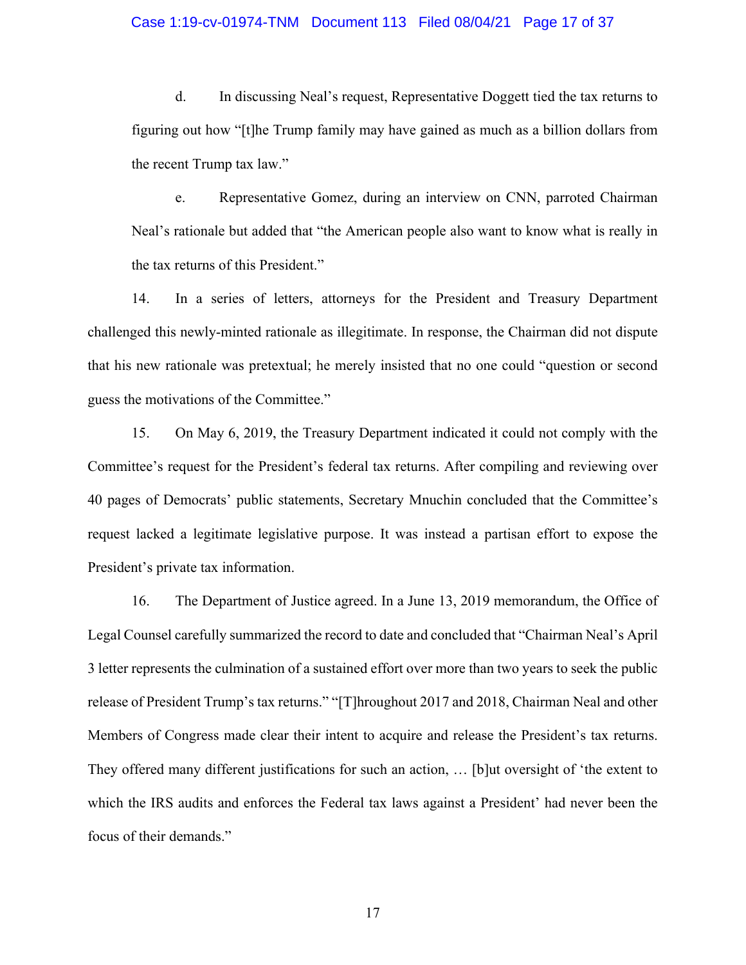#### Case 1:19-cv-01974-TNM Document 113 Filed 08/04/21 Page 17 of 37

 d. In discussing Neal's request, Representative Doggett tied the tax returns to figuring out how "[t]he Trump family may have gained as much as a billion dollars from the recent Trump tax law."

 Neal's rationale but added that "the American people also want to know what is really in e. Representative Gomez, during an interview on CNN, parroted Chairman the tax returns of this President."

 14. In a series of letters, attorneys for the President and Treasury Department challenged this newly-minted rationale as illegitimate. In response, the Chairman did not dispute that his new rationale was pretextual; he merely insisted that no one could "question or second guess the motivations of the Committee."

 15. On May 6, 2019, the Treasury Department indicated it could not comply with the Committee's request for the President's federal tax returns. After compiling and reviewing over 40 pages of Democrats' public statements, Secretary Mnuchin concluded that the Committee's request lacked a legitimate legislative purpose. It was instead a partisan effort to expose the President's private tax information.

 16. The Department of Justice agreed. In a June 13, 2019 memorandum, the Office of Legal Counsel carefully summarized the record to date and concluded that "Chairman Neal's April 3 letter represents the culmination of a sustained effort over more than two years to seek the public release of President Trump's tax returns." "[T]hroughout 2017 and 2018, Chairman Neal and other Members of Congress made clear their intent to acquire and release the President's tax returns. They offered many different justifications for such an action, … [b]ut oversight of 'the extent to which the IRS audits and enforces the Federal tax laws against a President' had never been the focus of their demands."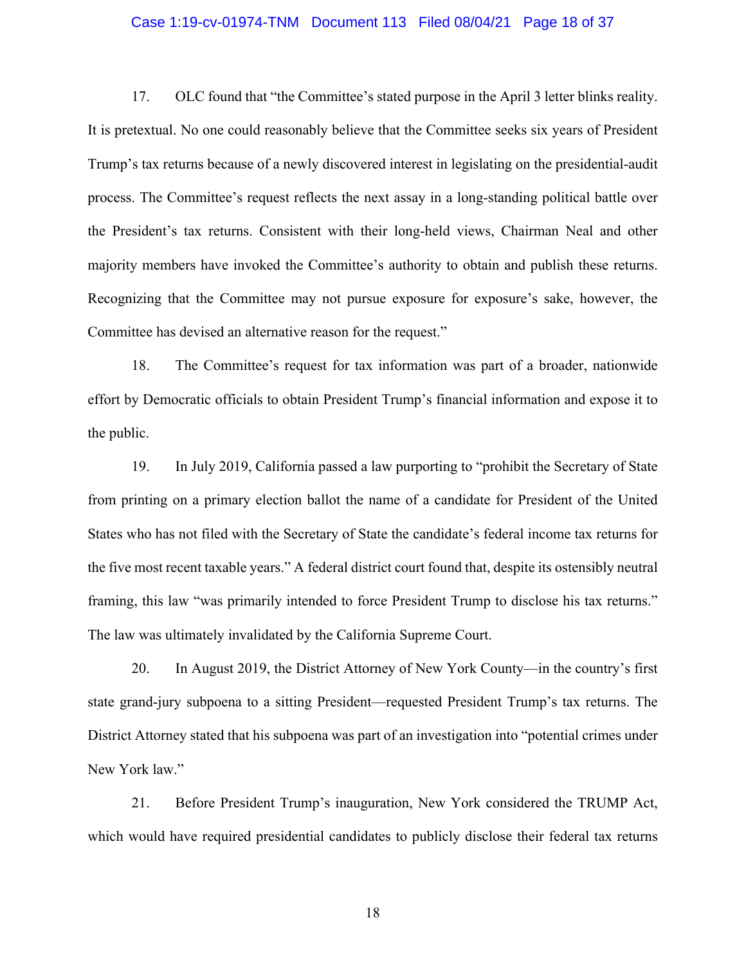#### Case 1:19-cv-01974-TNM Document 113 Filed 08/04/21 Page 18 of 37

 17. OLC found that "the Committee's stated purpose in the April 3 letter blinks reality. It is pretextual. No one could reasonably believe that the Committee seeks six years of President Trump's tax returns because of a newly discovered interest in legislating on the presidential-audit process. The Committee's request reflects the next assay in a long-standing political battle over the President's tax returns. Consistent with their long-held views, Chairman Neal and other majority members have invoked the Committee's authority to obtain and publish these returns. Recognizing that the Committee may not pursue exposure for exposure's sake, however, the Committee has devised an alternative reason for the request."

 18. The Committee's request for tax information was part of a broader, nationwide effort by Democratic officials to obtain President Trump's financial information and expose it to the public.

 19. In July 2019, California passed a law purporting to "prohibit the Secretary of State from printing on a primary election ballot the name of a candidate for President of the United States who has not filed with the Secretary of State the candidate's federal income tax returns for the five most recent taxable years." A federal district court found that, despite its ostensibly neutral framing, this law "was primarily intended to force President Trump to disclose his tax returns." The law was ultimately invalidated by the California Supreme Court.

 20. In August 2019, the District Attorney of New York County—in the country's first state grand-jury subpoena to a sitting President—requested President Trump's tax returns. The District Attorney stated that his subpoena was part of an investigation into "potential crimes under New York law."

 21. Before President Trump's inauguration, New York considered the TRUMP Act, which would have required presidential candidates to publicly disclose their federal tax returns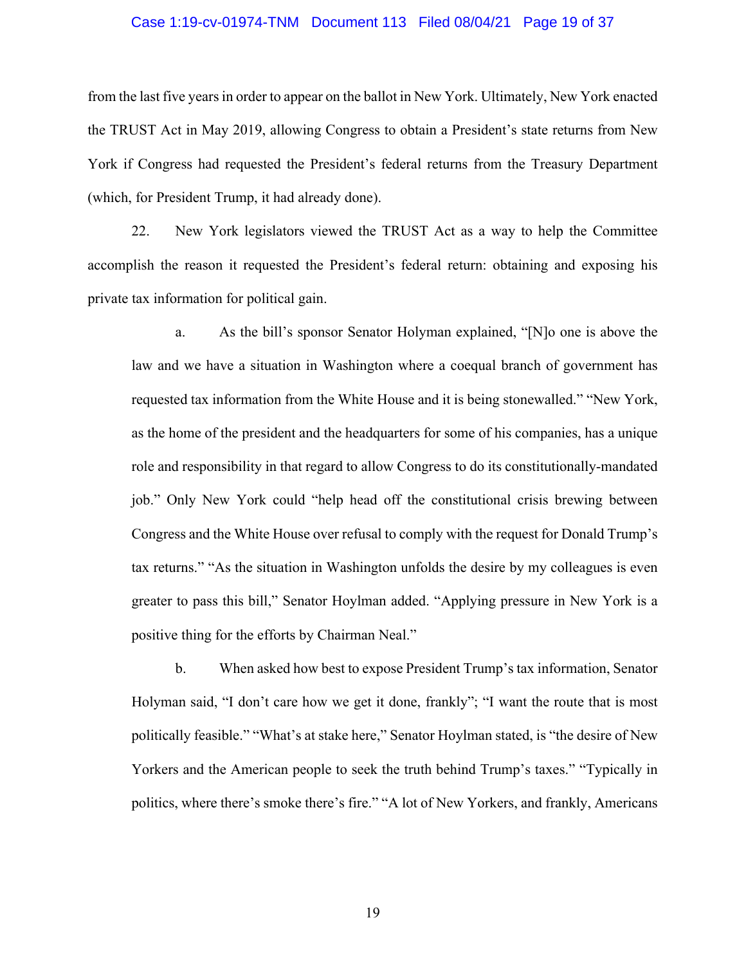#### Case 1:19-cv-01974-TNM Document 113 Filed 08/04/21 Page 19 of 37

 from the last five years in order to appear on the ballot in New York. Ultimately, New York enacted the TRUST Act in May 2019, allowing Congress to obtain a President's state returns from New York if Congress had requested the President's federal returns from the Treasury Department (which, for President Trump, it had already done).

 22. New York legislators viewed the TRUST Act as a way to help the Committee accomplish the reason it requested the President's federal return: obtaining and exposing his private tax information for political gain.

 a. As the bill's sponsor Senator Holyman explained, "[N]o one is above the law and we have a situation in Washington where a coequal branch of government has requested tax information from the White House and it is being stonewalled." "New York, as the home of the president and the headquarters for some of his companies, has a unique role and responsibility in that regard to allow Congress to do its constitutionally-mandated job." Only New York could "help head off the constitutional crisis brewing between Congress and the White House over refusal to comply with the request for Donald Trump's tax returns." "As the situation in Washington unfolds the desire by my colleagues is even greater to pass this bill," Senator Hoylman added. "Applying pressure in New York is a positive thing for the efforts by Chairman Neal." positive thing for the efforts by Chairman Neal." b. When asked how best to expose President Trump's tax information, Senator

 Holyman said, "I don't care how we get it done, frankly"; "I want the route that is most politically feasible." "What's at stake here," Senator Hoylman stated, is "the desire of New Yorkers and the American people to seek the truth behind Trump's taxes." "Typically in politics, where there's smoke there's fire." "A lot of New Yorkers, and frankly, Americans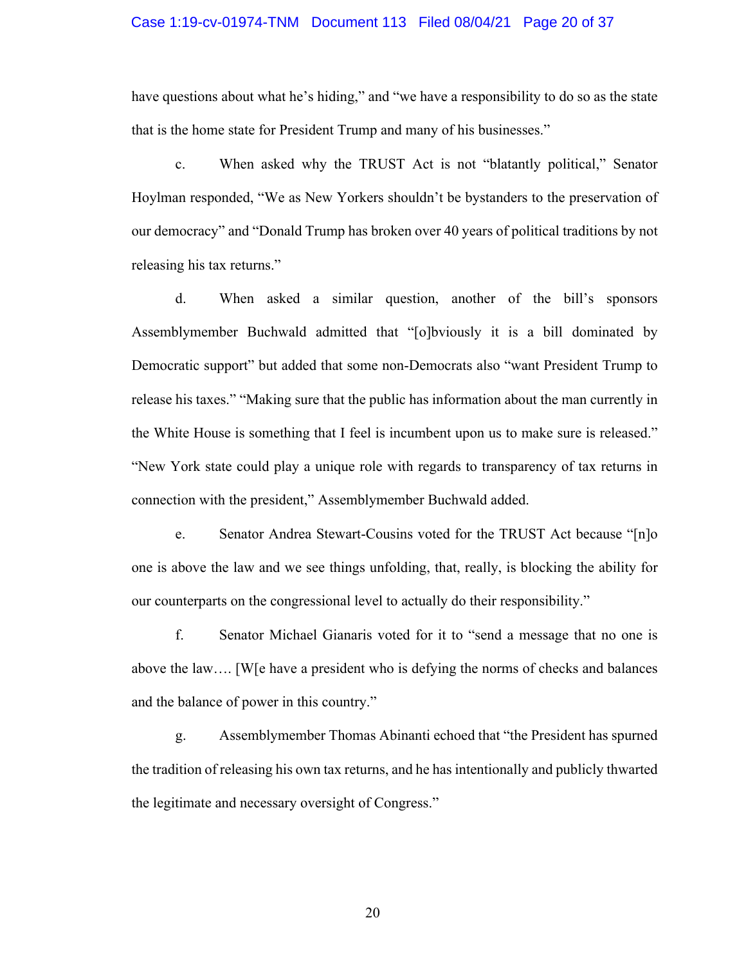#### Case 1:19-cv-01974-TNM Document 113 Filed 08/04/21 Page 20 of 37

 have questions about what he's hiding," and "we have a responsibility to do so as the state that is the home state for President Trump and many of his businesses." that is the home state for President Trump and many of his businesses." c. When asked why the TRUST Act is not "blatantly political," Senator

 Hoylman responded, "We as New Yorkers shouldn't be bystanders to the preservation of our democracy" and "Donald Trump has broken over 40 years of political traditions by not releasing his tax returns."

 releasing his tax returns." d. When asked a similar question, another of the bill's sponsors Assemblymember Buchwald admitted that "[o]bviously it is a bill dominated by Democratic support" but added that some non-Democrats also "want President Trump to release his taxes." "Making sure that the public has information about the man currently in the White House is something that I feel is incumbent upon us to make sure is released." "New York state could play a unique role with regards to transparency of tax returns in connection with the president," Assemblymember Buchwald added.

 e. Senator Andrea Stewart-Cousins voted for the TRUST Act because "[n]o one is above the law and we see things unfolding, that, really, is blocking the ability for our counterparts on the congressional level to actually do their responsibility."

 f. Senator Michael Gianaris voted for it to "send a message that no one is above the law…. [W[e have a president who is defying the norms of checks and balances and the balance of power in this country."

 g. Assemblymember Thomas Abinanti echoed that "the President has spurned the tradition of releasing his own tax returns, and he has intentionally and publicly thwarted the legitimate and necessary oversight of Congress."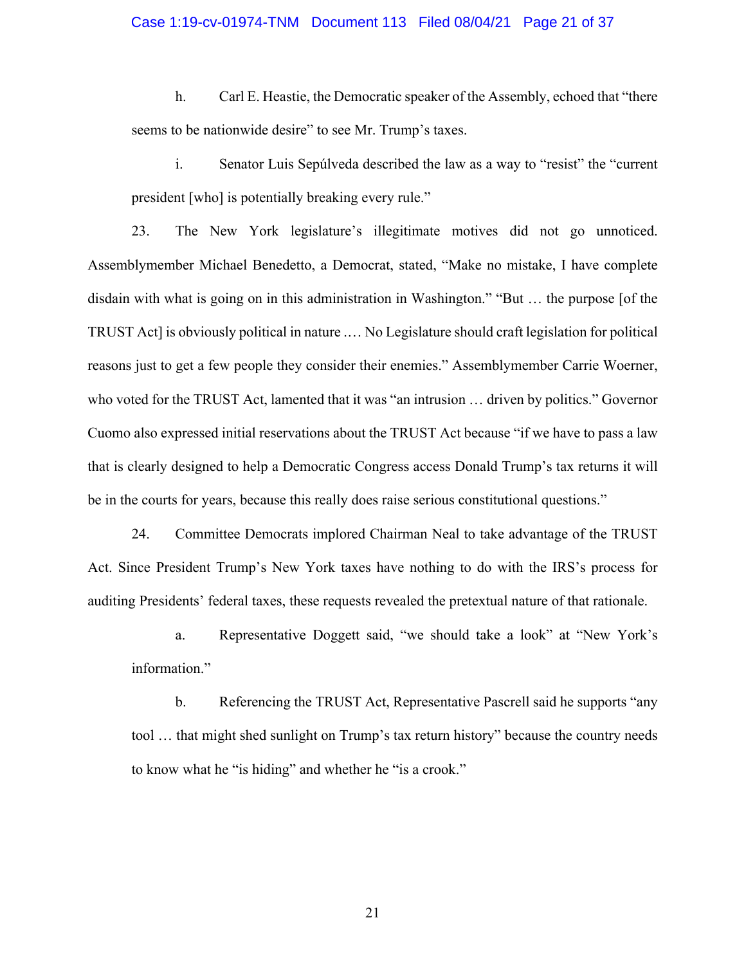#### Case 1:19-cv-01974-TNM Document 113 Filed 08/04/21 Page 21 of 37

 h. Carl E. Heastie, the Democratic speaker of the Assembly, echoed that "there seems to be nationwide desire" to see Mr. Trump's taxes.

 i. Senator Luis Sepúlveda described the law as a way to "resist" the "current president [who] is potentially breaking every rule."

 23. The New York legislature's illegitimate motives did not go unnoticed. Assemblymember Michael Benedetto, a Democrat, stated, "Make no mistake, I have complete disdain with what is going on in this administration in Washington." "But … the purpose [of the TRUST Act] is obviously political in nature .… No Legislature should craft legislation for political reasons just to get a few people they consider their enemies." Assemblymember Carrie Woerner, who voted for the TRUST Act, lamented that it was "an intrusion … driven by politics." Governor Cuomo also expressed initial reservations about the TRUST Act because "if we have to pass a law that is clearly designed to help a Democratic Congress access Donald Trump's tax returns it will be in the courts for years, because this really does raise serious constitutional questions."

 24. Committee Democrats implored Chairman Neal to take advantage of the TRUST Act. Since President Trump's New York taxes have nothing to do with the IRS's process for auditing Presidents' federal taxes, these requests revealed the pretextual nature of that rationale.

 a. Representative Doggett said, "we should take a look" at "New York's information."

 b. Referencing the TRUST Act, Representative Pascrell said he supports "any tool … that might shed sunlight on Trump's tax return history" because the country needs to know what he "is hiding" and whether he "is a crook."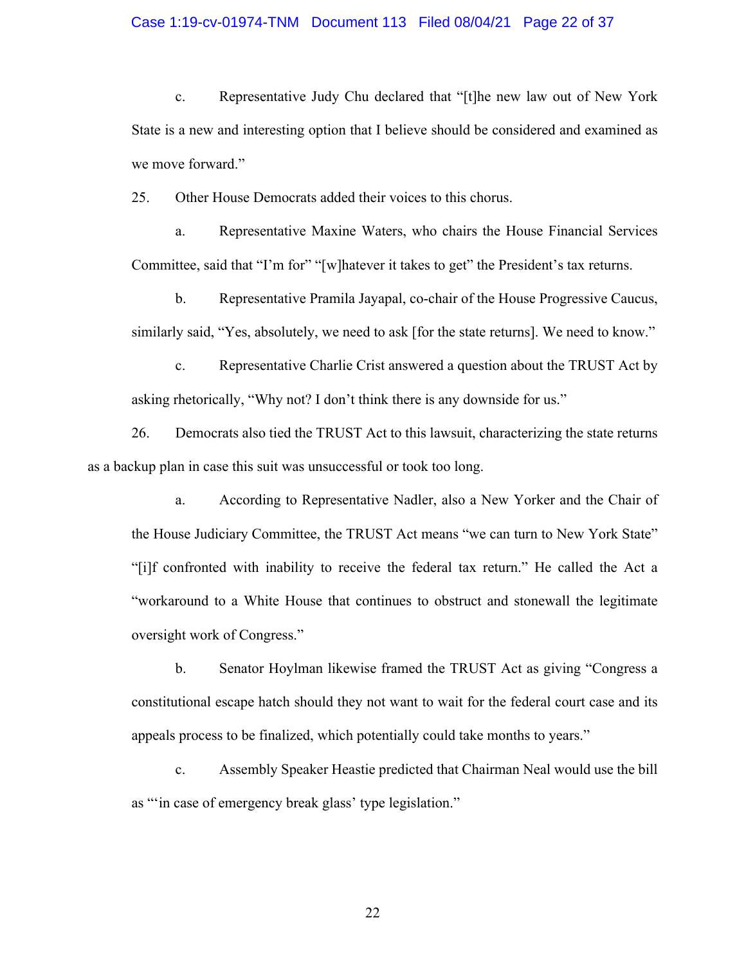#### Case 1:19-cv-01974-TNM Document 113 Filed 08/04/21 Page 22 of 37

 c. Representative Judy Chu declared that "[t]he new law out of New York State is a new and interesting option that I believe should be considered and examined as we move forward."

25. Other House Democrats added their voices to this chorus.

 a. Representative Maxine Waters, who chairs the House Financial Services Committee, said that "I'm for" "[w]hatever it takes to get" the President's tax returns.

 b. Representative Pramila Jayapal, co-chair of the House Progressive Caucus, similarly said, "Yes, absolutely, we need to ask [for the state returns]. We need to know."<br>c. Representative Charlie Crist answered a question about the TRUST Act by

Representative Charlie Crist answered a question about the TRUST Act by asking rhetorically, "Why not? I don't think there is any downside for us."

 26. Democrats also tied the TRUST Act to this lawsuit, characterizing the state returns as a backup plan in case this suit was unsuccessful or took too long.

 a. According to Representative Nadler, also a New Yorker and the Chair of the House Judiciary Committee, the TRUST Act means "we can turn to New York State" "[i]f confronted with inability to receive the federal tax return." He called the Act a "workaround to a White House that continues to obstruct and stonewall the legitimate oversight work of Congress." oversight work of Congress."<br>
b. Senator Hoylman likewise framed the TRUST Act as giving "Congress a

 constitutional escape hatch should they not want to wait for the federal court case and its appeals process to be finalized, which potentially could take months to years."

 c. Assembly Speaker Heastie predicted that Chairman Neal would use the bill as "'in case of emergency break glass' type legislation."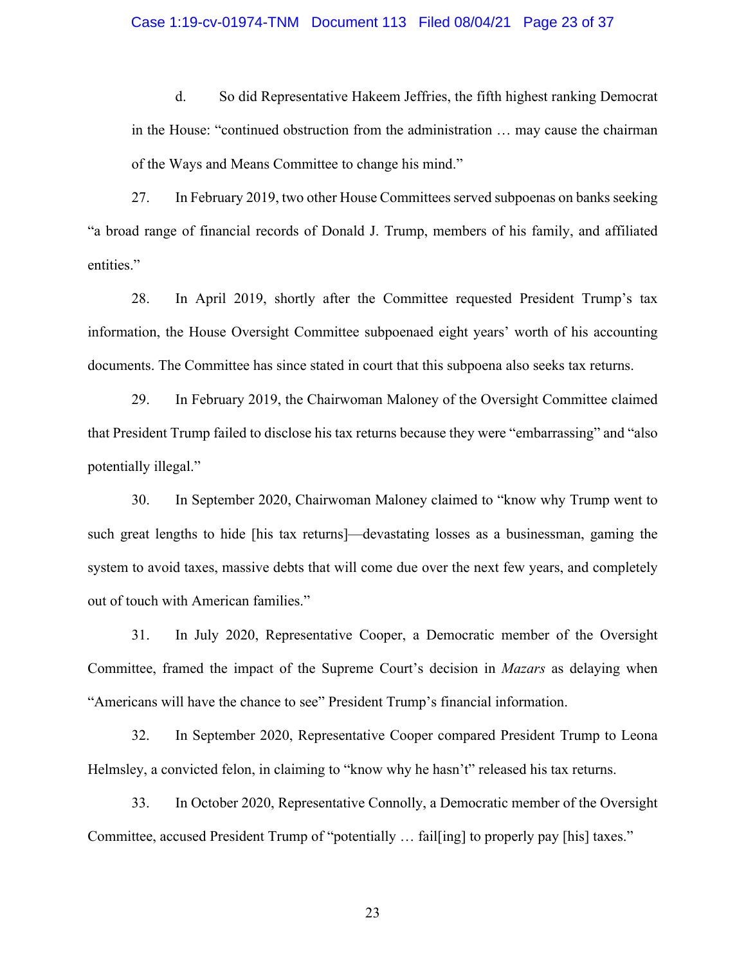#### Case 1:19-cv-01974-TNM Document 113 Filed 08/04/21 Page 23 of 37

 d. So did Representative Hakeem Jeffries, the fifth highest ranking Democrat in the House: "continued obstruction from the administration … may cause the chairman of the Ways and Means Committee to change his mind."

 27. In February 2019, two other House Committees served subpoenas on banks seeking "a broad range of financial records of Donald J. Trump, members of his family, and affiliated entities."

 28. In April 2019, shortly after the Committee requested President Trump's tax information, the House Oversight Committee subpoenaed eight years' worth of his accounting documents. The Committee has since stated in court that this subpoena also seeks tax returns.

 29. In February 2019, the Chairwoman Maloney of the Oversight Committee claimed that President Trump failed to disclose his tax returns because they were "embarrassing" and "also potentially illegal."

 such great lengths to hide [his tax returns]—devastating losses as a businessman, gaming the system to avoid taxes, massive debts that will come due over the next few years, and completely 30. In September 2020, Chairwoman Maloney claimed to "know why Trump went to out of touch with American families."

 31. In July 2020, Representative Cooper, a Democratic member of the Oversight Committee, framed the impact of the Supreme Court's decision in *Mazars* as delaying when "Americans will have the chance to see" President Trump's financial information.

32. In September 2020, Representative Cooper compared President Trump to Leona Helmsley, a convicted felon, in claiming to "know why he hasn't" released his tax returns.

 33. In October 2020, Representative Connolly, a Democratic member of the Oversight Committee, accused President Trump of "potentially … fail[ing] to properly pay [his] taxes."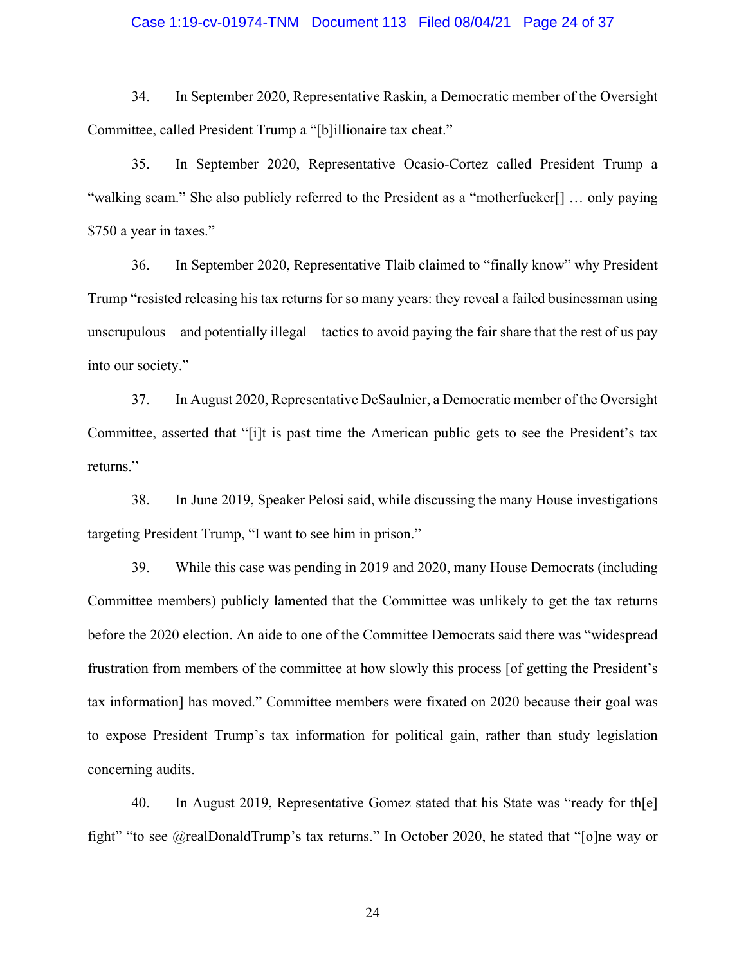#### Case 1:19-cv-01974-TNM Document 113 Filed 08/04/21 Page 24 of 37

 34. In September 2020, Representative Raskin, a Democratic member of the Oversight Committee, called President Trump a "[b]illionaire tax cheat."

 35. In September 2020, Representative Ocasio-Cortez called President Trump a "walking scam." She also publicly referred to the President as a "motherfucker[] … only paying \$750 a year in taxes."

 36. In September 2020, Representative Tlaib claimed to "finally know" why President Trump "resisted releasing his tax returns for so many years: they reveal a failed businessman using unscrupulous—and potentially illegal—tactics to avoid paying the fair share that the rest of us pay into our society."

 37. In August 2020, Representative DeSaulnier, a Democratic member of the Oversight Committee, asserted that "[i]t is past time the American public gets to see the President's tax returns."

 38. In June 2019, Speaker Pelosi said, while discussing the many House investigations targeting President Trump, "I want to see him in prison."

 39. While this case was pending in 2019 and 2020, many House Democrats (including Committee members) publicly lamented that the Committee was unlikely to get the tax returns before the 2020 election. An aide to one of the Committee Democrats said there was "widespread frustration from members of the committee at how slowly this process [of getting the President's tax information] has moved." Committee members were fixated on 2020 because their goal was to expose President Trump's tax information for political gain, rather than study legislation concerning audits.

 40. In August 2019, Representative Gomez stated that his State was "ready for th[e] fight" "to see @realDonaldTrump's tax returns." In October 2020, he stated that "[o]ne way or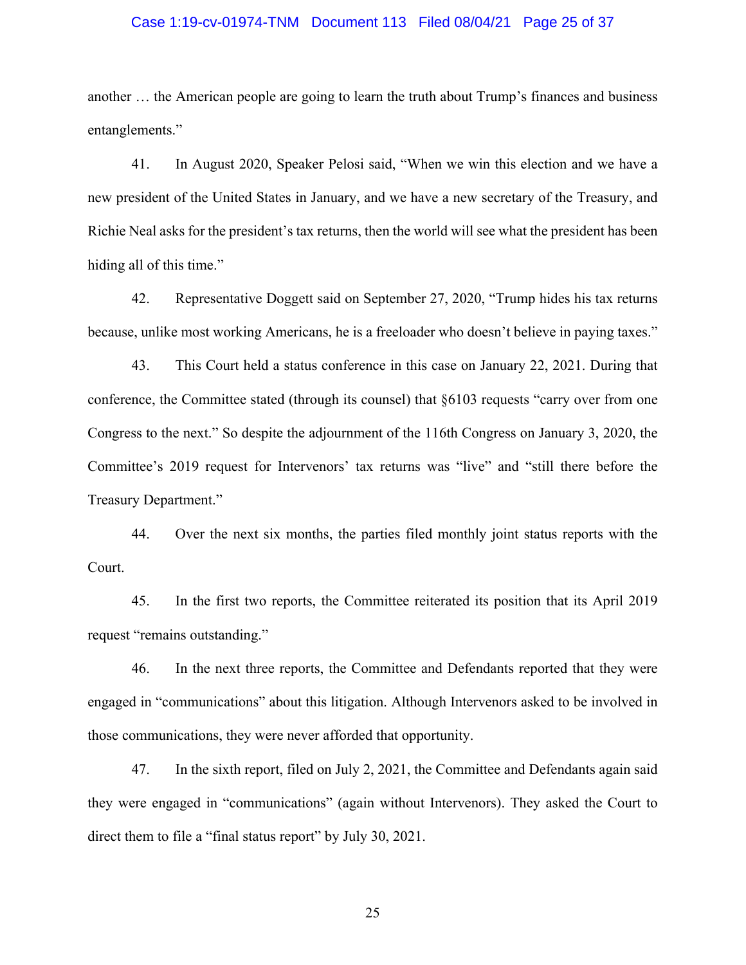#### Case 1:19-cv-01974-TNM Document 113 Filed 08/04/21 Page 25 of 37

 another … the American people are going to learn the truth about Trump's finances and business entanglements."

 41. In August 2020, Speaker Pelosi said, "When we win this election and we have a new president of the United States in January, and we have a new secretary of the Treasury, and Richie Neal asks for the president's tax returns, then the world will see what the president has been hiding all of this time."

 42. Representative Doggett said on September 27, 2020, "Trump hides his tax returns because, unlike most working Americans, he is a freeloader who doesn't believe in paying taxes."

 43. This Court held a status conference in this case on January 22, 2021. During that conference, the Committee stated (through its counsel) that §6103 requests "carry over from one Congress to the next." So despite the adjournment of the 116th Congress on January 3, 2020, the Committee's 2019 request for Intervenors' tax returns was "live" and "still there before the Treasury Department."

 44. Over the next six months, the parties filed monthly joint status reports with the Court.

 45. In the first two reports, the Committee reiterated its position that its April 2019 request "remains outstanding."

 46. In the next three reports, the Committee and Defendants reported that they were engaged in "communications" about this litigation. Although Intervenors asked to be involved in those communications, they were never afforded that opportunity.

 47. In the sixth report, filed on July 2, 2021, the Committee and Defendants again said they were engaged in "communications" (again without Intervenors). They asked the Court to direct them to file a "final status report" by July 30, 2021.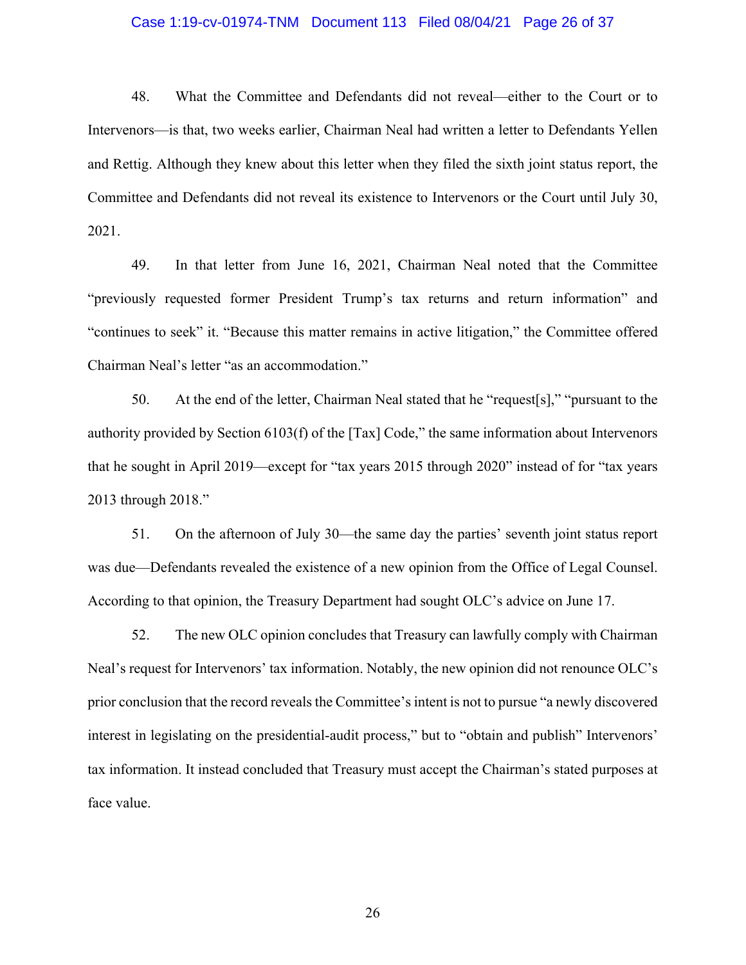#### Case 1:19-cv-01974-TNM Document 113 Filed 08/04/21 Page 26 of 37

 48. What the Committee and Defendants did not reveal—either to the Court or to Intervenors—is that, two weeks earlier, Chairman Neal had written a letter to Defendants Yellen and Rettig. Although they knew about this letter when they filed the sixth joint status report, the Committee and Defendants did not reveal its existence to Intervenors or the Court until July 30, 2021.

 49. In that letter from June 16, 2021, Chairman Neal noted that the Committee "previously requested former President Trump's tax returns and return information" and "continues to seek" it. "Because this matter remains in active litigation," the Committee offered Chairman Neal's letter "as an accommodation."

 50. At the end of the letter, Chairman Neal stated that he "request[s]," "pursuant to the authority provided by Section 6103(f) of the [Tax] Code," the same information about Intervenors that he sought in April 2019—except for "tax years 2015 through 2020" instead of for "tax years 2013 through 2018."

 51. On the afternoon of July 30—the same day the parties' seventh joint status report was due—Defendants revealed the existence of a new opinion from the Office of Legal Counsel. According to that opinion, the Treasury Department had sought OLC's advice on June 17.

 52. The new OLC opinion concludes that Treasury can lawfully comply with Chairman Neal's request for Intervenors' tax information. Notably, the new opinion did not renounce OLC's prior conclusion that the record reveals the Committee's intent is not to pursue "a newly discovered interest in legislating on the presidential-audit process," but to "obtain and publish" Intervenors' tax information. It instead concluded that Treasury must accept the Chairman's stated purposes at face value.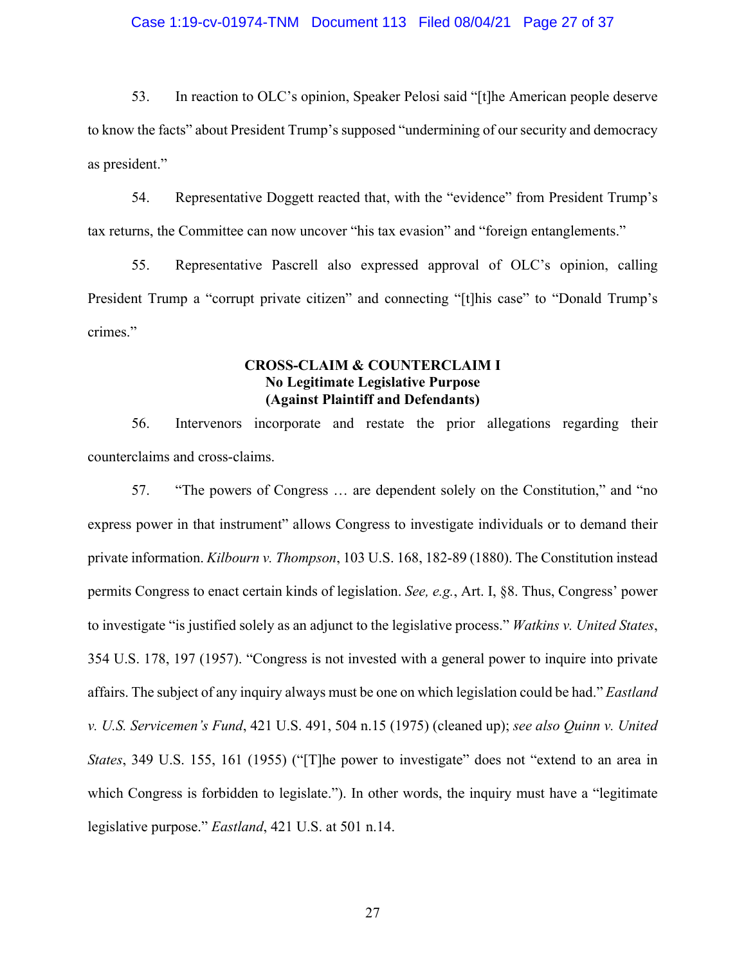#### Case 1:19-cv-01974-TNM Document 113 Filed 08/04/21 Page 27 of 37

 53. In reaction to OLC's opinion, Speaker Pelosi said "[t]he American people deserve to know the facts" about President Trump's supposed "undermining of our security and democracy as president."

 54. Representative Doggett reacted that, with the "evidence" from President Trump's tax returns, the Committee can now uncover "his tax evasion" and "foreign entanglements."

 55. Representative Pascrell also expressed approval of OLC's opinion, calling President Trump a "corrupt private citizen" and connecting "[t]his case" to "Donald Trump's crimes."

# **CROSS-CLAIM & COUNTERCLAIM I No Legitimate Legislative Purpose (Against Plaintiff and Defendants)**

 56. Intervenors incorporate and restate the prior allegations regarding their counterclaims and cross-claims.

 57. "The powers of Congress … are dependent solely on the Constitution," and "no express power in that instrument" allows Congress to investigate individuals or to demand their permits Congress to enact certain kinds of legislation. *See, e.g.*, Art. I, §8. Thus, Congress' power to investigate "is justified solely as an adjunct to the legislative process." *Watkins v. United States*, 354 U.S. 178, 197 (1957). "Congress is not invested with a general power to inquire into private affairs. The subject of any inquiry always must be one on which legislation could be had." *Eastland v. U.S. Servicemen's Fund*, 421 U.S. 491, 504 n.15 (1975) (cleaned up); *see also Quinn v. United States*, 349 U.S. 155, 161 (1955) ("[T]he power to investigate" does not "extend to an area in which Congress is forbidden to legislate."). In other words, the inquiry must have a "legitimate private information. *Kilbourn v. Thompson*, 103 U.S. 168, 182-89 (1880). The Constitution instead legislative purpose." *Eastland*, 421 U.S. at 501 n.14.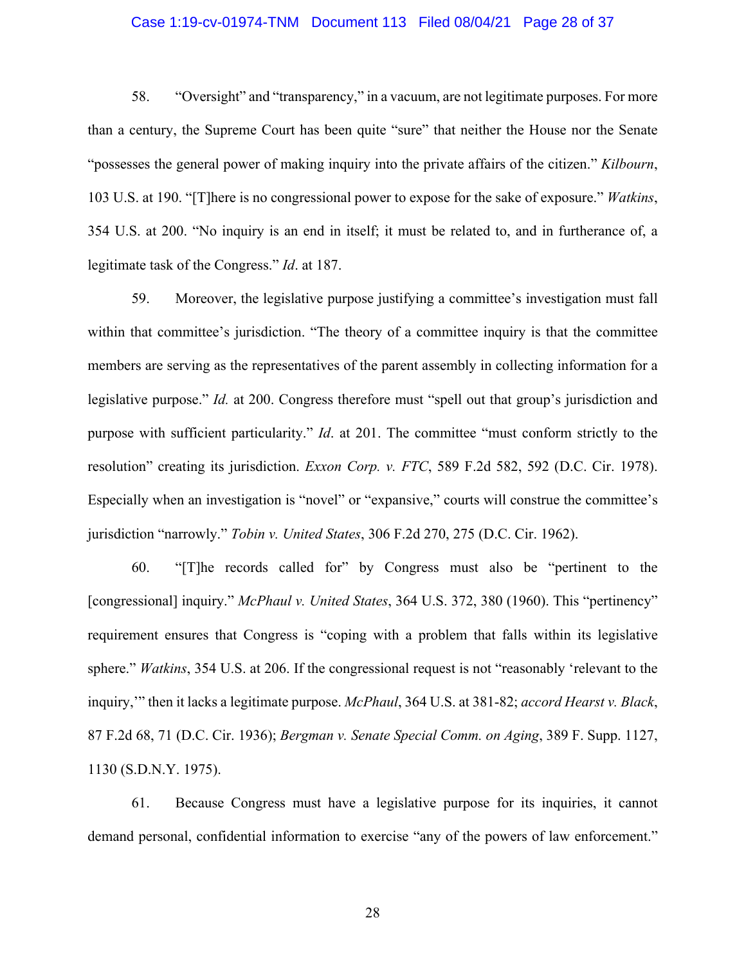#### Case 1:19-cv-01974-TNM Document 113 Filed 08/04/21 Page 28 of 37

 58. "Oversight" and "transparency," in a vacuum, are not legitimate purposes. For more than a century, the Supreme Court has been quite "sure" that neither the House nor the Senate "possesses the general power of making inquiry into the private affairs of the citizen." *Kilbourn*, 103 U.S. at 190. "[T]here is no congressional power to expose for the sake of exposure." *Watkins*, 354 U.S. at 200. "No inquiry is an end in itself; it must be related to, and in furtherance of, a legitimate task of the Congress." *Id*. at 187.

 59. Moreover, the legislative purpose justifying a committee's investigation must fall within that committee's jurisdiction. "The theory of a committee inquiry is that the committee members are serving as the representatives of the parent assembly in collecting information for a legislative purpose." *Id.* at 200. Congress therefore must "spell out that group's jurisdiction and purpose with sufficient particularity." *Id*. at 201. The committee "must conform strictly to the resolution" creating its jurisdiction. *Exxon Corp. v. FTC*, 589 F.2d 582, 592 (D.C. Cir. 1978). Especially when an investigation is "novel" or "expansive," courts will construe the committee's jurisdiction "narrowly." *Tobin v. United States*, 306 F.2d 270, 275 (D.C. Cir. 1962).

 60. "[T]he records called for" by Congress must also be "pertinent to the requirement ensures that Congress is "coping with a problem that falls within its legislative sphere." *Watkins*, 354 U.S. at 206. If the congressional request is not "reasonably 'relevant to the inquiry,'" then it lacks a legitimate purpose. *McPhaul*, 364 U.S. at 381-82; *accord Hearst v. Black*,  87 F.2d 68, 71 (D.C. Cir. 1936); *Bergman v. Senate Special Comm. on Aging*, 389 F. Supp. 1127, [congressional] inquiry." *McPhaul v. United States*, 364 U.S. 372, 380 (1960). This "pertinency" 1130 (S.D.N.Y. 1975).

 61. Because Congress must have a legislative purpose for its inquiries, it cannot demand personal, confidential information to exercise "any of the powers of law enforcement."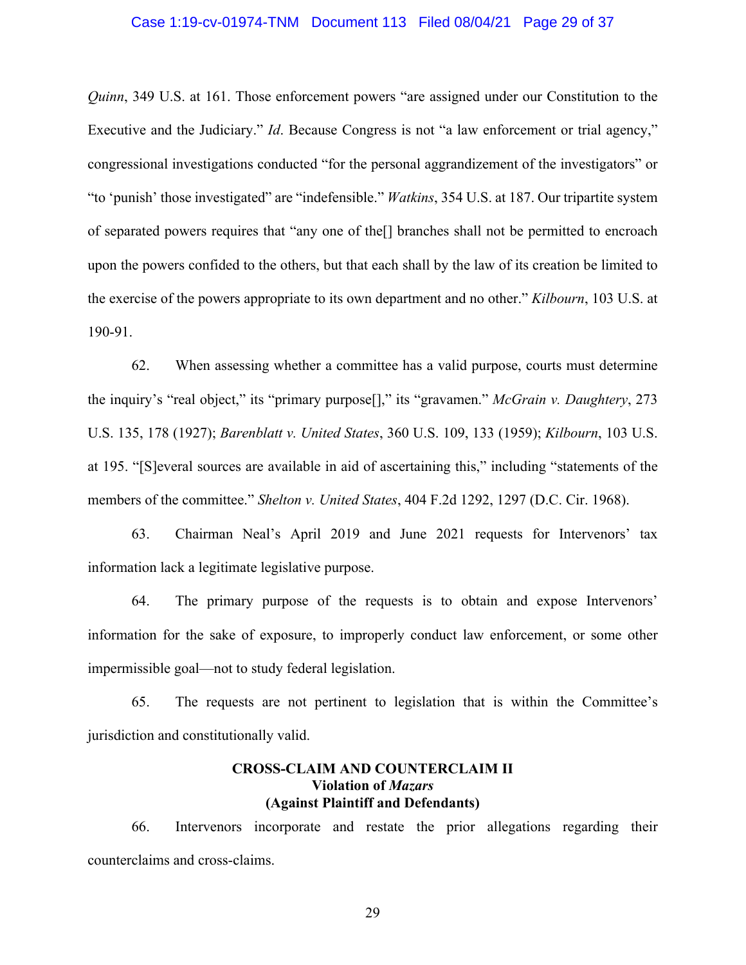*Quinn*, 349 U.S. at 161. Those enforcement powers "are assigned under our Constitution to the Executive and the Judiciary." *Id*. Because Congress is not "a law enforcement or trial agency," congressional investigations conducted "for the personal aggrandizement of the investigators" or "to 'punish' those investigated" are "indefensible." *Watkins*, 354 U.S. at 187. Our tripartite system of separated powers requires that "any one of the[] branches shall not be permitted to encroach upon the powers confided to the others, but that each shall by the law of its creation be limited to the exercise of the powers appropriate to its own department and no other." *Kilbourn*, 103 U.S. at 190-91.

 62. When assessing whether a committee has a valid purpose, courts must determine the inquiry's "real object," its "primary purpose[]," its "gravamen." *McGrain v. Daughtery*, 273 U.S. 135, 178 (1927); *Barenblatt v. United States*, 360 U.S. 109, 133 (1959); *Kilbourn*, 103 U.S. at 195. "[S]everal sources are available in aid of ascertaining this," including "statements of the members of the committee." *Shelton v. United States*, 404 F.2d 1292, 1297 (D.C. Cir. 1968).

 63. Chairman Neal's April 2019 and June 2021 requests for Intervenors' tax information lack a legitimate legislative purpose.

 64. The primary purpose of the requests is to obtain and expose Intervenors' information for the sake of exposure, to improperly conduct law enforcement, or some other impermissible goal—not to study federal legislation.

 65. The requests are not pertinent to legislation that is within the Committee's jurisdiction and constitutionally valid.

## **CROSS-CLAIM AND COUNTERCLAIM II Violation of** *Mazars* **(Against Plaintiff and Defendants)**

 66. Intervenors incorporate and restate the prior allegations regarding their counterclaims and cross-claims.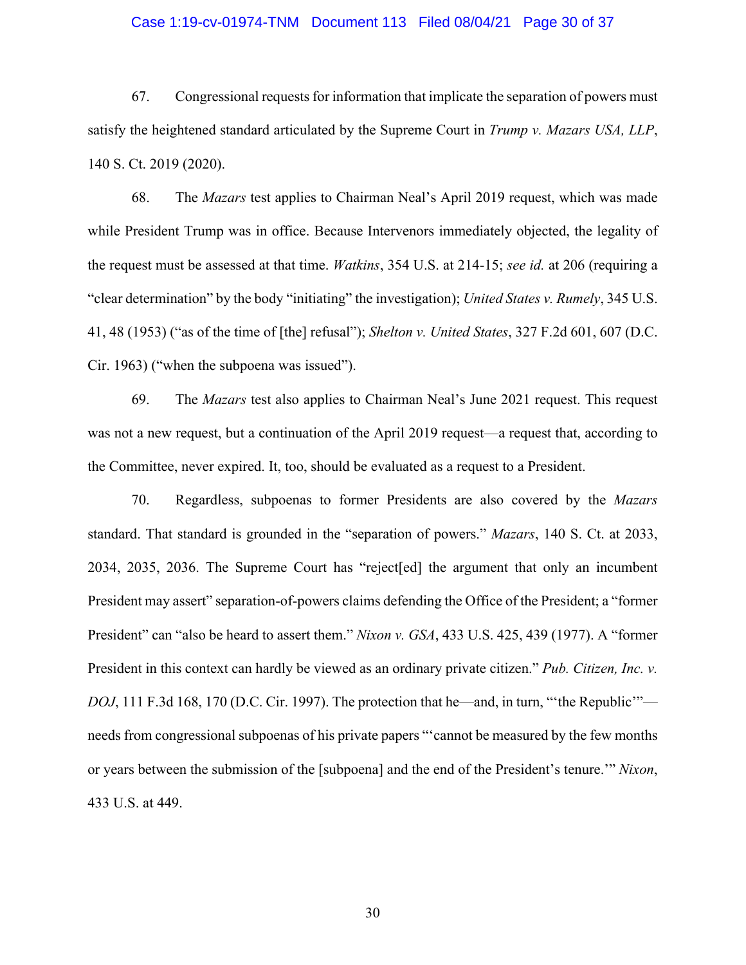#### Case 1:19-cv-01974-TNM Document 113 Filed 08/04/21 Page 30 of 37

 67. Congressional requests for information that implicate the separation of powers must satisfy the heightened standard articulated by the Supreme Court in *Trump v. Mazars USA, LLP*, 140 S. Ct. 2019 (2020).

 68. The *Mazars* test applies to Chairman Neal's April 2019 request, which was made while President Trump was in office. Because Intervenors immediately objected, the legality of the request must be assessed at that time. *Watkins*, 354 U.S. at 214-15; *see id.* at 206 (requiring a "clear determination" by the body "initiating" the investigation); *United States v. Rumely*, 345 U.S. 41, 48 (1953) ("as of the time of [the] refusal"); *Shelton v. United States*, 327 F.2d 601, 607 (D.C. Cir. 1963) ("when the subpoena was issued").

 69. The *Mazars* test also applies to Chairman Neal's June 2021 request. This request was not a new request, but a continuation of the April 2019 request—a request that, according to the Committee, never expired. It, too, should be evaluated as a request to a President.

 70. Regardless, subpoenas to former Presidents are also covered by the *Mazars*  standard. That standard is grounded in the "separation of powers." *Mazars*, 140 S. Ct. at 2033, 2034, 2035, 2036. The Supreme Court has "reject[ed] the argument that only an incumbent President may assert" separation-of-powers claims defending the Office of the President; a "former President" can "also be heard to assert them." *Nixon v. GSA*, 433 U.S. 425, 439 (1977). A "former President in this context can hardly be viewed as an ordinary private citizen." *Pub. Citizen, Inc. v.*  needs from congressional subpoenas of his private papers "'cannot be measured by the few months or years between the submission of the [subpoena] and the end of the President's tenure.'" *Nixon*, *DOJ*, 111 F.3d 168, 170 (D.C. Cir. 1997). The protection that he—and, in turn, "'the Republic'"— 433 U.S. at 449.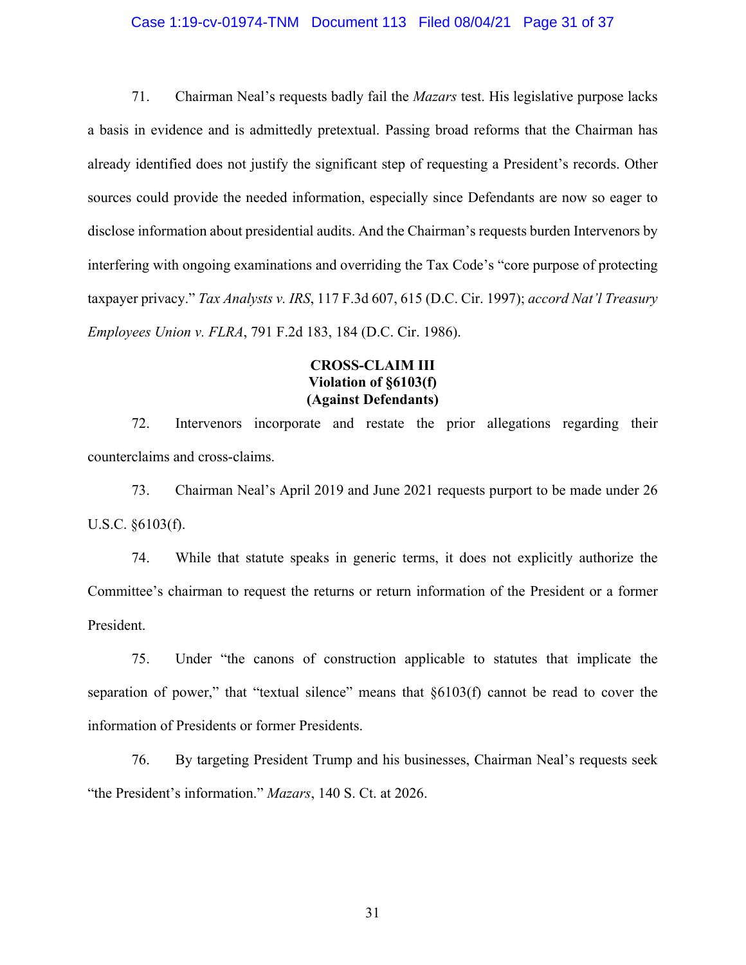#### Case 1:19-cv-01974-TNM Document 113 Filed 08/04/21 Page 31 of 37

 71. Chairman Neal's requests badly fail the *Mazars* test. His legislative purpose lacks a basis in evidence and is admittedly pretextual. Passing broad reforms that the Chairman has already identified does not justify the significant step of requesting a President's records. Other sources could provide the needed information, especially since Defendants are now so eager to disclose information about presidential audits. And the Chairman's requests burden Intervenors by interfering with ongoing examinations and overriding the Tax Code's "core purpose of protecting  taxpayer privacy." *Tax Analysts v. IRS*, 117 F.3d 607, 615 (D.C. Cir. 1997); *accord Nat'l Treasury Employees Union v. FLRA*, 791 F.2d 183, 184 (D.C. Cir. 1986).

# **CROSS-CLAIM III Violation of §6103(f) (Against Defendants)**

 72. Intervenors incorporate and restate the prior allegations regarding their counterclaims and cross-claims.

 73. Chairman Neal's April 2019 and June 2021 requests purport to be made under 26 U.S.C. §6103(f).

 74. While that statute speaks in generic terms, it does not explicitly authorize the Committee's chairman to request the returns or return information of the President or a former President.

 75. Under "the canons of construction applicable to statutes that implicate the separation of power," that "textual silence" means that  $\S6103(f)$  cannot be read to cover the information of Presidents or former Presidents.

 76. By targeting President Trump and his businesses, Chairman Neal's requests seek "the President's information." *Mazars*, 140 S. Ct. at 2026.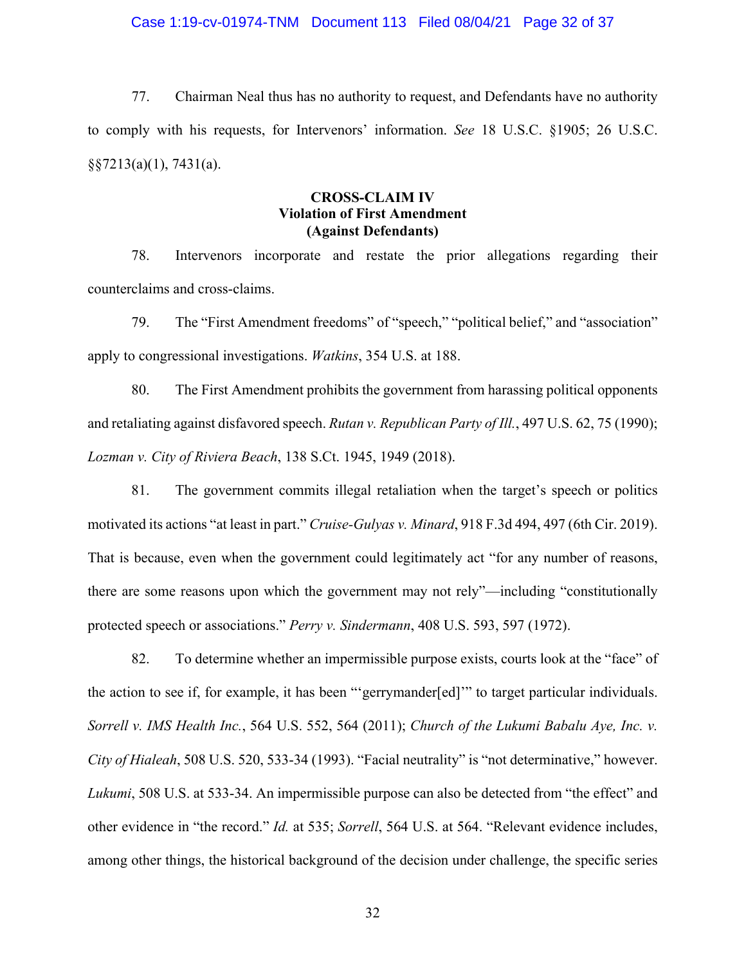#### Case 1:19-cv-01974-TNM Document 113 Filed 08/04/21 Page 32 of 37

 77. Chairman Neal thus has no authority to request, and Defendants have no authority to comply with his requests, for Intervenors' information. *See* 18 U.S.C. §1905; 26 U.S.C. §§7213(a)(1), 7431(a).

### **CROSS-CLAIM IV Violation of First Amendment (Against Defendants)**

 78. Intervenors incorporate and restate the prior allegations regarding their counterclaims and cross-claims.

 79. The "First Amendment freedoms" of "speech," "political belief," and "association" apply to congressional investigations. *Watkins*, 354 U.S. at 188.

 80. The First Amendment prohibits the government from harassing political opponents  and retaliating against disfavored speech. *Rutan v. Republican Party of Ill.*, 497 U.S. 62, 75 (1990); *Lozman v. City of Riviera Beach*, 138 S.Ct. 1945, 1949 (2018).

 81. The government commits illegal retaliation when the target's speech or politics motivated its actions "at least in part." *Cruise-Gulyas v. Minard*, 918 F.3d 494, 497 (6th Cir. 2019). That is because, even when the government could legitimately act "for any number of reasons, there are some reasons upon which the government may not rely"—including "constitutionally protected speech or associations." *Perry v. Sindermann*, 408 U.S. 593, 597 (1972).

 82. To determine whether an impermissible purpose exists, courts look at the "face" of the action to see if, for example, it has been "'gerrymander[ed]'" to target particular individuals.  *Sorrell v. IMS Health Inc.*, 564 U.S. 552, 564 (2011); *Church of the Lukumi Babalu Aye, Inc. v. City of Hialeah*, 508 U.S. 520, 533-34 (1993). "Facial neutrality" is "not determinative," however. *Lukumi*, 508 U.S. at 533-34. An impermissible purpose can also be detected from "the effect" and other evidence in "the record." *Id.* at 535; *Sorrell*, 564 U.S. at 564. "Relevant evidence includes, among other things, the historical background of the decision under challenge, the specific series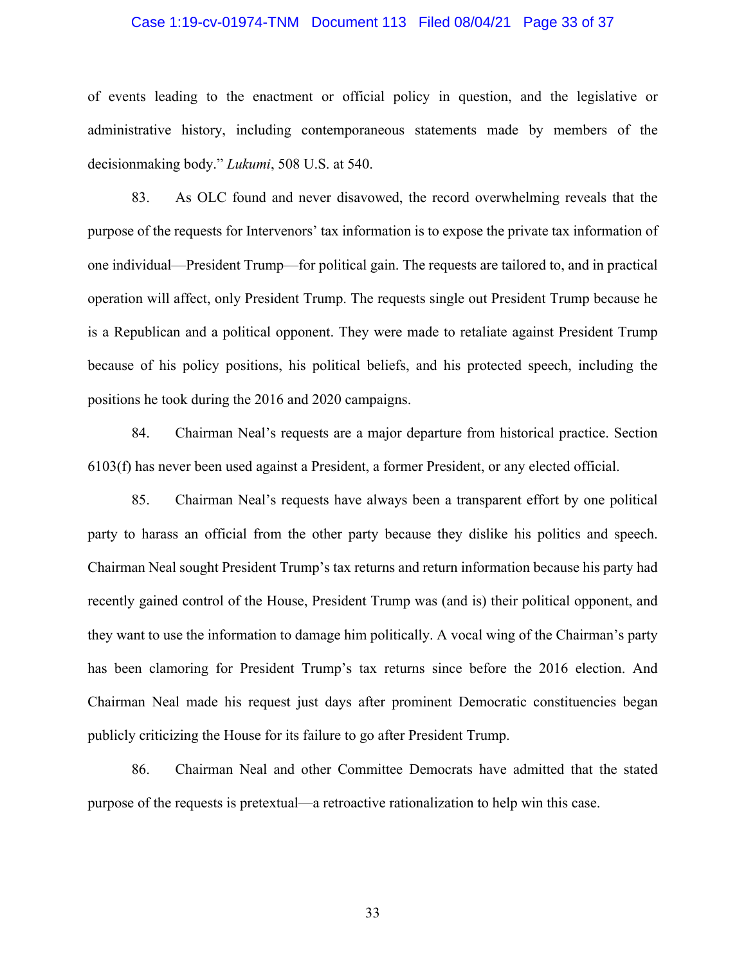#### Case 1:19-cv-01974-TNM Document 113 Filed 08/04/21 Page 33 of 37

 of events leading to the enactment or official policy in question, and the legislative or administrative history, including contemporaneous statements made by members of the decisionmaking body." *Lukumi*, 508 U.S. at 540.

 83. As OLC found and never disavowed, the record overwhelming reveals that the purpose of the requests for Intervenors' tax information is to expose the private tax information of one individual—President Trump—for political gain. The requests are tailored to, and in practical operation will affect, only President Trump. The requests single out President Trump because he is a Republican and a political opponent. They were made to retaliate against President Trump because of his policy positions, his political beliefs, and his protected speech, including the positions he took during the 2016 and 2020 campaigns.

 84. Chairman Neal's requests are a major departure from historical practice. Section 6103(f) has never been used against a President, a former President, or any elected official.

 85. Chairman Neal's requests have always been a transparent effort by one political party to harass an official from the other party because they dislike his politics and speech. Chairman Neal sought President Trump's tax returns and return information because his party had recently gained control of the House, President Trump was (and is) their political opponent, and they want to use the information to damage him politically. A vocal wing of the Chairman's party has been clamoring for President Trump's tax returns since before the 2016 election. And Chairman Neal made his request just days after prominent Democratic constituencies began publicly criticizing the House for its failure to go after President Trump.

 86. Chairman Neal and other Committee Democrats have admitted that the stated purpose of the requests is pretextual—a retroactive rationalization to help win this case.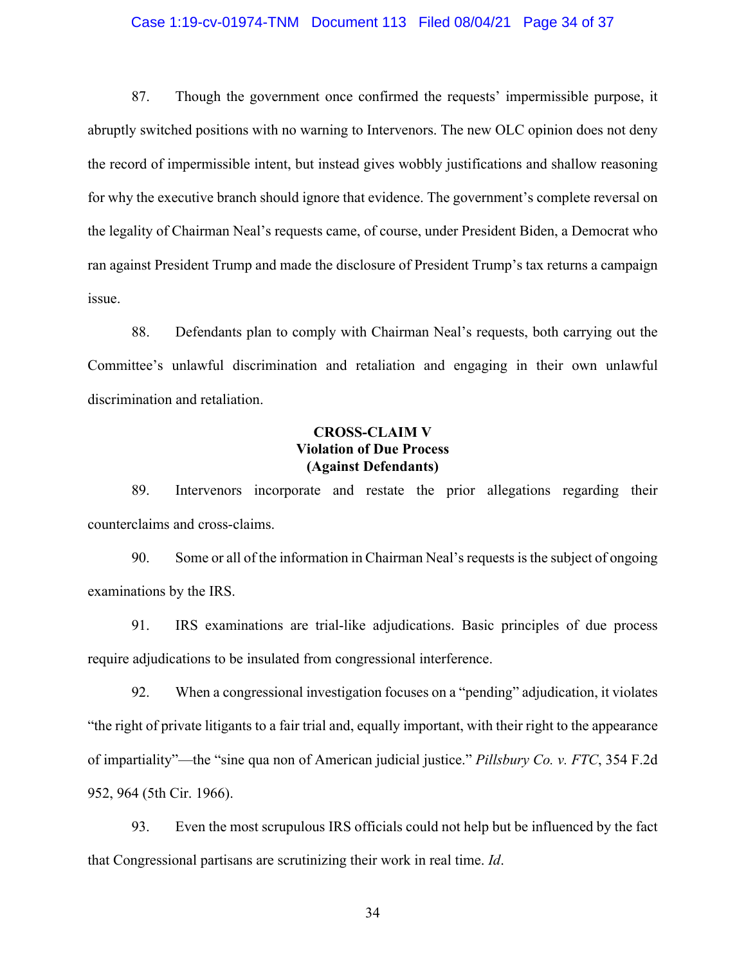#### Case 1:19-cv-01974-TNM Document 113 Filed 08/04/21 Page 34 of 37

 87. Though the government once confirmed the requests' impermissible purpose, it abruptly switched positions with no warning to Intervenors. The new OLC opinion does not deny the record of impermissible intent, but instead gives wobbly justifications and shallow reasoning for why the executive branch should ignore that evidence. The government's complete reversal on the legality of Chairman Neal's requests came, of course, under President Biden, a Democrat who ran against President Trump and made the disclosure of President Trump's tax returns a campaign issue.

 88. Defendants plan to comply with Chairman Neal's requests, both carrying out the Committee's unlawful discrimination and retaliation and engaging in their own unlawful discrimination and retaliation.

# **CROSS-CLAIM V Violation of Due Process (Against Defendants)**

 89. Intervenors incorporate and restate the prior allegations regarding their counterclaims and cross-claims.

 90. Some or all of the information in Chairman Neal's requests is the subject of ongoing examinations by the IRS.

 91. IRS examinations are trial-like adjudications. Basic principles of due process require adjudications to be insulated from congressional interference.

 92. When a congressional investigation focuses on a "pending" adjudication, it violates "the right of private litigants to a fair trial and, equally important, with their right to the appearance of impartiality"—the "sine qua non of American judicial justice." *Pillsbury Co. v. FTC*, 354 F.2d 952, 964 (5th Cir. 1966).

 93. Even the most scrupulous IRS officials could not help but be influenced by the fact that Congressional partisans are scrutinizing their work in real time. *Id*.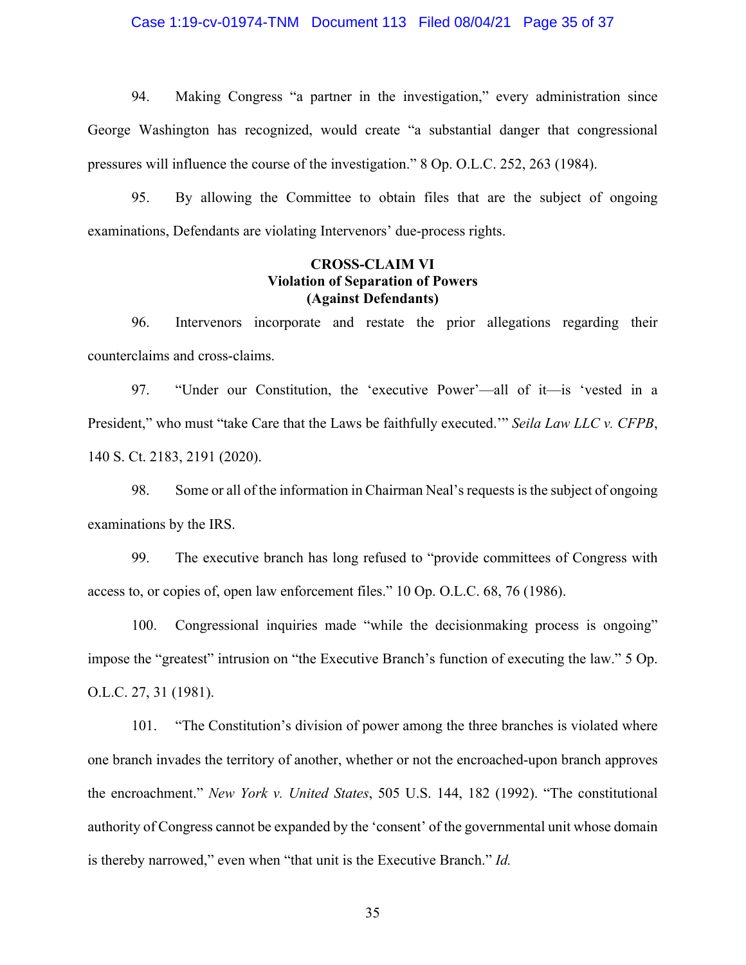#### Case 1:19-cv-01974-TNM Document 113 Filed 08/04/21 Page 35 of 37

 94. Making Congress "a partner in the investigation," every administration since George Washington has recognized, would create "a substantial danger that congressional pressures will influence the course of the investigation." 8 Op. O.L.C. 252, 263 (1984).

 95. By allowing the Committee to obtain files that are the subject of ongoing examinations, Defendants are violating Intervenors' due-process rights.

### **CROSS-CLAIM VI Violation of Separation of Powers (Against Defendants)**

 96. Intervenors incorporate and restate the prior allegations regarding their counterclaims and cross-claims.

 97. "Under our Constitution, the 'executive Power'—all of it—is 'vested in a President," who must "take Care that the Laws be faithfully executed.'" *Seila Law LLC v. CFPB*, 140 S. Ct. 2183, 2191 (2020).

 98. Some or all of the information in Chairman Neal's requests is the subject of ongoing examinations by the IRS.

 99. The executive branch has long refused to "provide committees of Congress with access to, or copies of, open law enforcement files." 10 Op. O.L.C. 68, 76 (1986).

 100. Congressional inquiries made "while the decisionmaking process is ongoing" impose the "greatest" intrusion on "the Executive Branch's function of executing the law." 5 Op. O.L.C. 27, 31 (1981).

 101. "The Constitution's division of power among the three branches is violated where one branch invades the territory of another, whether or not the encroached-upon branch approves authority of Congress cannot be expanded by the 'consent' of the governmental unit whose domain is thereby narrowed," even when "that unit is the Executive Branch." *Id.*  the encroachment." *New York v. United States*, 505 U.S. 144, 182 (1992). "The constitutional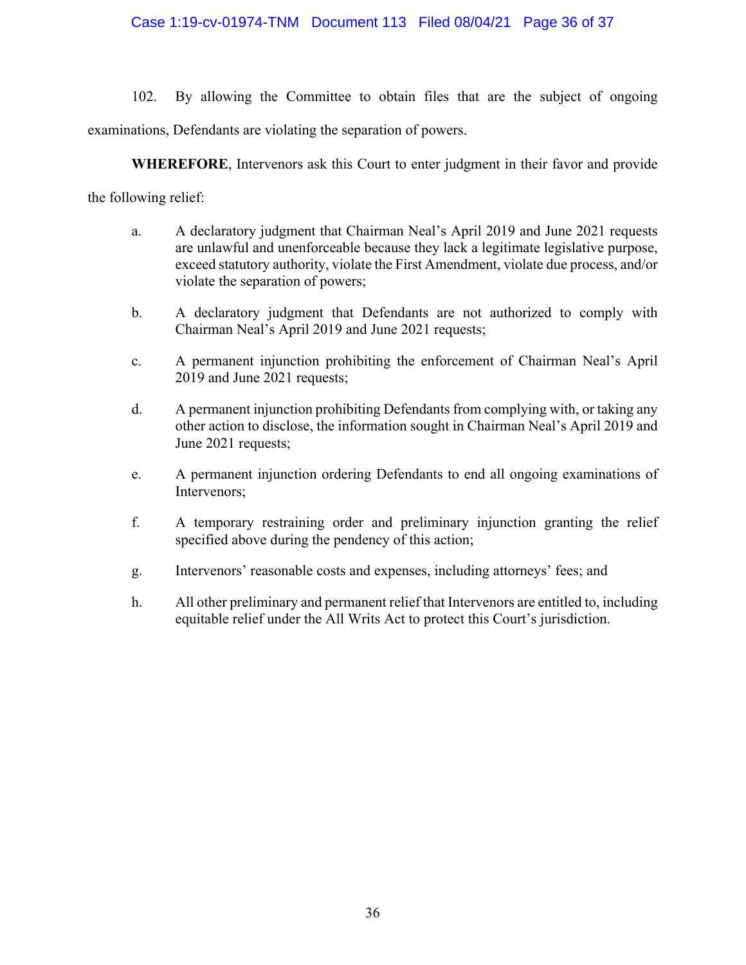### Case 1:19-cv-01974-TNM Document 113 Filed 08/04/21 Page 36 of 37

 102. By allowing the Committee to obtain files that are the subject of ongoing examinations, Defendants are violating the separation of powers.

**WHEREFORE**, Intervenors ask this Court to enter judgment in their favor and provide

the following relief:

- a. A declaratory judgment that Chairman Neal's April 2019 and June 2021 requests are unlawful and unenforceable because they lack a legitimate legislative purpose, exceed statutory authority, violate the First Amendment, violate due process, and/or violate the separation of powers;
- b. A declaratory judgment that Defendants are not authorized to comply with Chairman Neal's April 2019 and June 2021 requests;
- c. A permanent injunction prohibiting the enforcement of Chairman Neal's April 2019 and June 2021 requests;
- d. A permanent injunction prohibiting Defendants from complying with, or taking any other action to disclose, the information sought in Chairman Neal's April 2019 and June 2021 requests;
- e. A permanent injunction ordering Defendants to end all ongoing examinations of Intervenors;
- f. A temporary restraining order and preliminary injunction granting the relief specified above during the pendency of this action;
- g. Intervenors' reasonable costs and expenses, including attorneys' fees; and
- h. All other preliminary and permanent relief that Intervenors are entitled to, including equitable relief under the All Writs Act to protect this Court's jurisdiction.